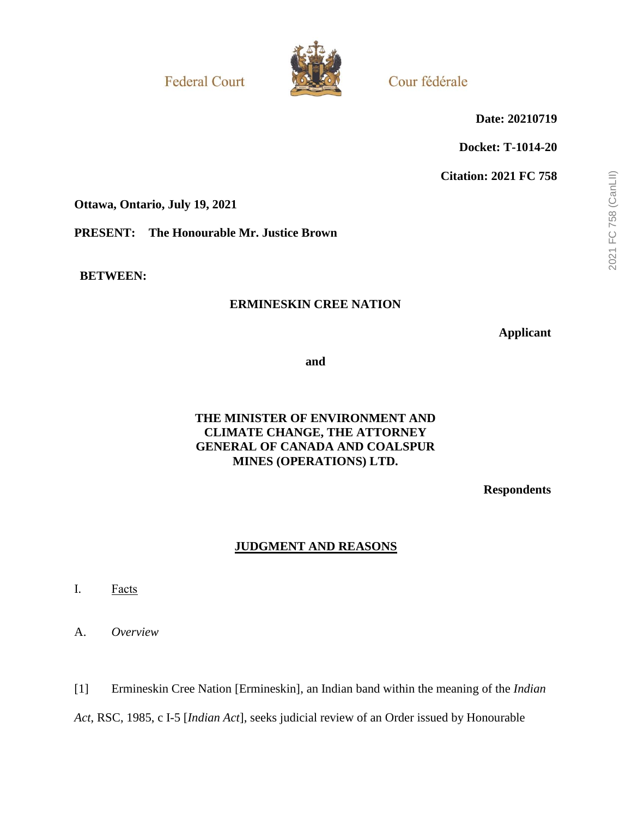**Federal Court** 



Cour fédérale

**Date: 20210719**

**Docket: T-1014-20**

**Citation: 2021 FC 758**

**Ottawa, Ontario, July 19, 2021**

**PRESENT: The Honourable Mr. Justice Brown**

**BETWEEN:**

## **ERMINESKIN CREE NATION**

**Applicant**

**and**

## **THE MINISTER OF ENVIRONMENT AND CLIMATE CHANGE, THE ATTORNEY GENERAL OF CANADA AND COALSPUR MINES (OPERATIONS) LTD.**

**Respondents**

## **JUDGMENT AND REASONS**

I. Facts

A. *Overview*

[1] Ermineskin Cree Nation [Ermineskin], an Indian band within the meaning of the *Indian Act*, RSC, 1985, c I-5 [*Indian Act*], seeks judicial review of an Order issued by Honourable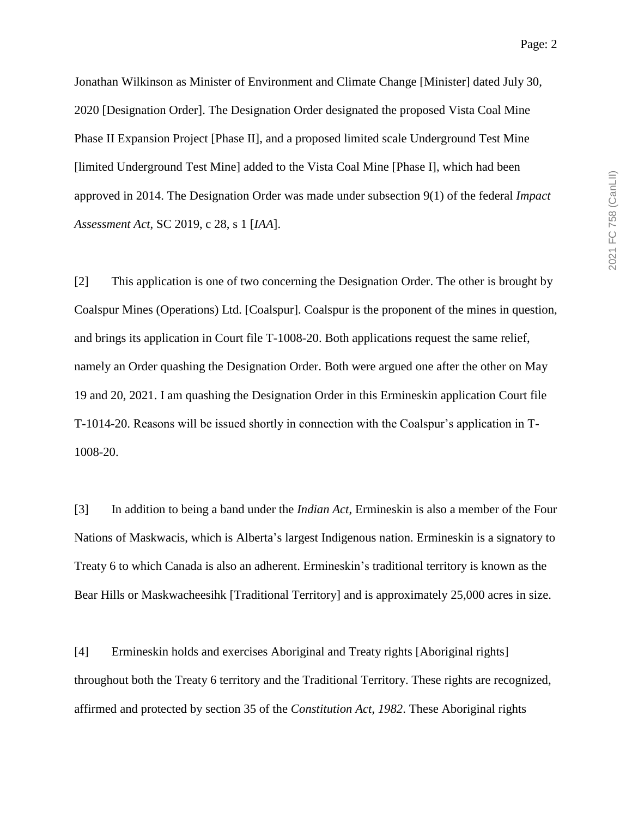Jonathan Wilkinson as Minister of Environment and Climate Change [Minister] dated July 30, 2020 [Designation Order]. The Designation Order designated the proposed Vista Coal Mine Phase II Expansion Project [Phase II], and a proposed limited scale Underground Test Mine [limited Underground Test Mine] added to the Vista Coal Mine [Phase I], which had been approved in 2014. The Designation Order was made under subsection 9(1) of the federal *Impact Assessment Act*, SC 2019, c 28, s 1 [*IAA*].

[2] This application is one of two concerning the Designation Order. The other is brought by Coalspur Mines (Operations) Ltd. [Coalspur]. Coalspur is the proponent of the mines in question, and brings its application in Court file T-1008-20. Both applications request the same relief, namely an Order quashing the Designation Order. Both were argued one after the other on May 19 and 20, 2021. I am quashing the Designation Order in this Ermineskin application Court file T-1014-20. Reasons will be issued shortly in connection with the Coalspur's application in T-1008-20.

[3] In addition to being a band under the *Indian Act*, Ermineskin is also a member of the Four Nations of Maskwacis, which is Alberta's largest Indigenous nation. Ermineskin is a signatory to Treaty 6 to which Canada is also an adherent. Ermineskin's traditional territory is known as the Bear Hills or Maskwacheesihk [Traditional Territory] and is approximately 25,000 acres in size.

[4] Ermineskin holds and exercises Aboriginal and Treaty rights [Aboriginal rights] throughout both the Treaty 6 territory and the Traditional Territory. These rights are recognized, affirmed and protected by section 35 of the *Constitution Act, 1982*. These Aboriginal rights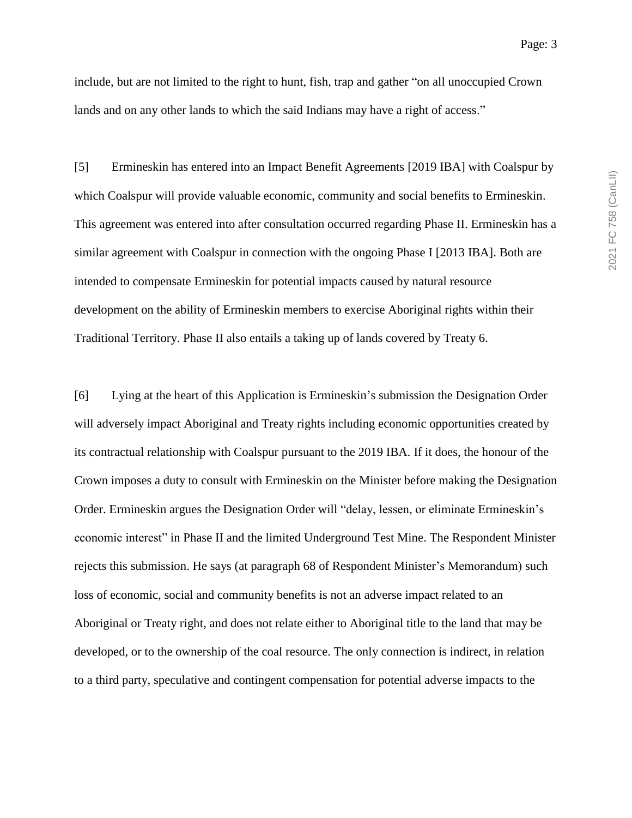include, but are not limited to the right to hunt, fish, trap and gather "on all unoccupied Crown lands and on any other lands to which the said Indians may have a right of access."

[5] Ermineskin has entered into an Impact Benefit Agreements [2019 IBA] with Coalspur by which Coalspur will provide valuable economic, community and social benefits to Ermineskin. This agreement was entered into after consultation occurred regarding Phase II. Ermineskin has a similar agreement with Coalspur in connection with the ongoing Phase I [2013 IBA]. Both are intended to compensate Ermineskin for potential impacts caused by natural resource development on the ability of Ermineskin members to exercise Aboriginal rights within their Traditional Territory. Phase II also entails a taking up of lands covered by Treaty 6.

[6] Lying at the heart of this Application is Ermineskin's submission the Designation Order will adversely impact Aboriginal and Treaty rights including economic opportunities created by its contractual relationship with Coalspur pursuant to the 2019 IBA. If it does, the honour of the Crown imposes a duty to consult with Ermineskin on the Minister before making the Designation Order. Ermineskin argues the Designation Order will "delay, lessen, or eliminate Ermineskin's economic interest" in Phase II and the limited Underground Test Mine. The Respondent Minister rejects this submission. He says (at paragraph 68 of Respondent Minister's Memorandum) such loss of economic, social and community benefits is not an adverse impact related to an Aboriginal or Treaty right, and does not relate either to Aboriginal title to the land that may be developed, or to the ownership of the coal resource. The only connection is indirect, in relation to a third party, speculative and contingent compensation for potential adverse impacts to the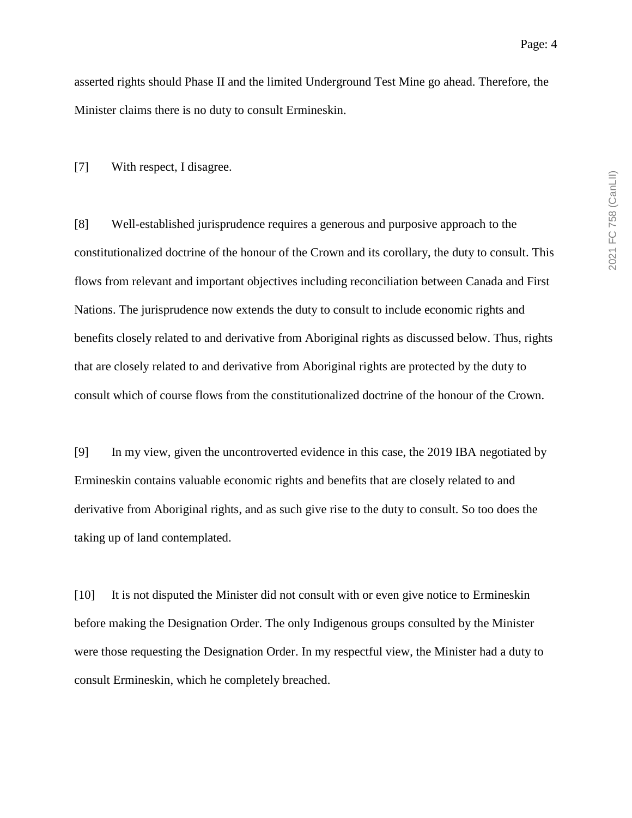asserted rights should Phase II and the limited Underground Test Mine go ahead. Therefore, the Minister claims there is no duty to consult Ermineskin.

[7] With respect, I disagree.

[8] Well-established jurisprudence requires a generous and purposive approach to the constitutionalized doctrine of the honour of the Crown and its corollary, the duty to consult. This flows from relevant and important objectives including reconciliation between Canada and First Nations. The jurisprudence now extends the duty to consult to include economic rights and benefits closely related to and derivative from Aboriginal rights as discussed below. Thus, rights that are closely related to and derivative from Aboriginal rights are protected by the duty to consult which of course flows from the constitutionalized doctrine of the honour of the Crown.

[9] In my view, given the uncontroverted evidence in this case, the 2019 IBA negotiated by Ermineskin contains valuable economic rights and benefits that are closely related to and derivative from Aboriginal rights, and as such give rise to the duty to consult. So too does the taking up of land contemplated.

[10] It is not disputed the Minister did not consult with or even give notice to Ermineskin before making the Designation Order. The only Indigenous groups consulted by the Minister were those requesting the Designation Order. In my respectful view, the Minister had a duty to consult Ermineskin, which he completely breached.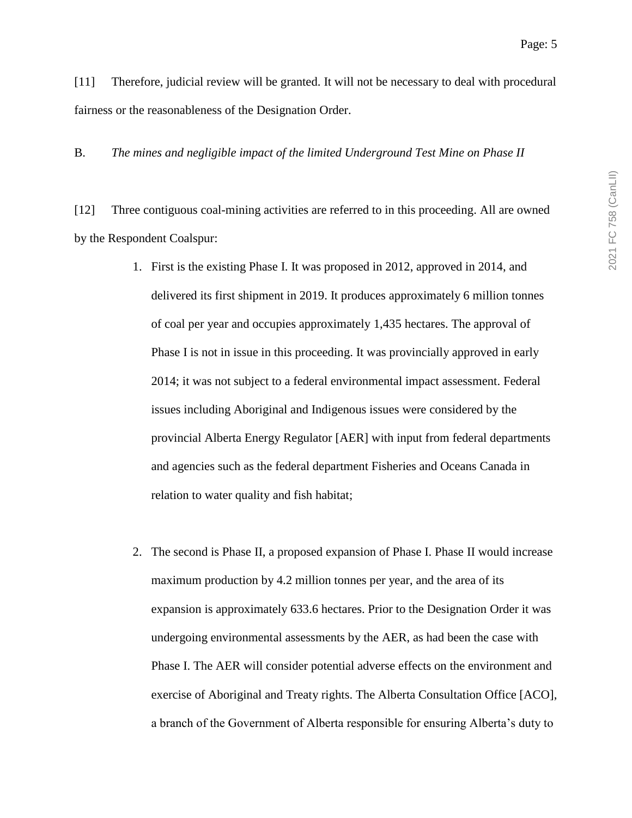[11] Therefore, judicial review will be granted. It will not be necessary to deal with procedural fairness or the reasonableness of the Designation Order.

B. *The mines and negligible impact of the limited Underground Test Mine on Phase II*

[12] Three contiguous coal-mining activities are referred to in this proceeding. All are owned by the Respondent Coalspur:

- 1. First is the existing Phase I. It was proposed in 2012, approved in 2014, and delivered its first shipment in 2019. It produces approximately 6 million tonnes of coal per year and occupies approximately 1,435 hectares. The approval of Phase I is not in issue in this proceeding. It was provincially approved in early 2014; it was not subject to a federal environmental impact assessment. Federal issues including Aboriginal and Indigenous issues were considered by the provincial Alberta Energy Regulator [AER] with input from federal departments and agencies such as the federal department Fisheries and Oceans Canada in relation to water quality and fish habitat;
- 2. The second is Phase II, a proposed expansion of Phase I. Phase II would increase maximum production by 4.2 million tonnes per year, and the area of its expansion is approximately 633.6 hectares. Prior to the Designation Order it was undergoing environmental assessments by the AER, as had been the case with Phase I. The AER will consider potential adverse effects on the environment and exercise of Aboriginal and Treaty rights. The Alberta Consultation Office [ACO], a branch of the Government of Alberta responsible for ensuring Alberta's duty to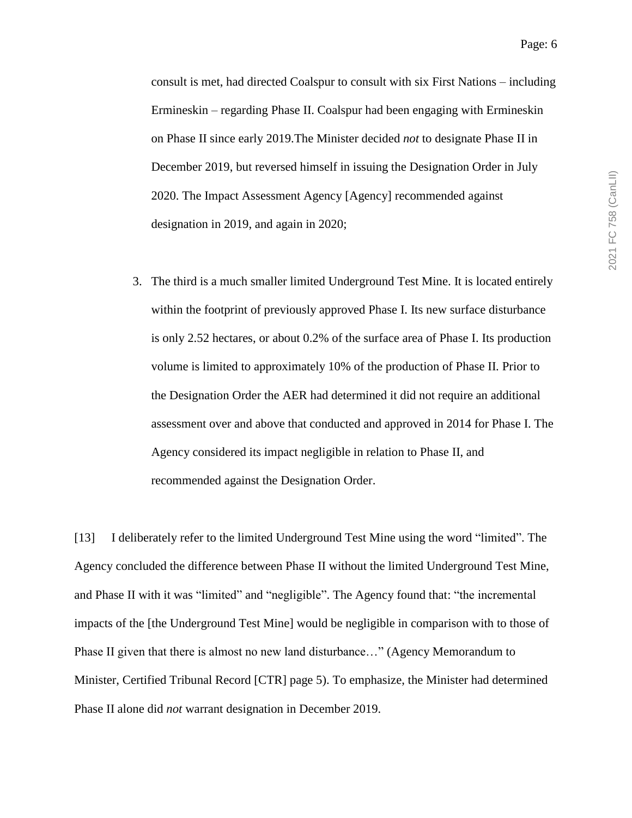consult is met, had directed Coalspur to consult with six First Nations – including Ermineskin – regarding Phase II. Coalspur had been engaging with Ermineskin on Phase II since early 2019.The Minister decided *not* to designate Phase II in December 2019, but reversed himself in issuing the Designation Order in July 2020. The Impact Assessment Agency [Agency] recommended against designation in 2019, and again in 2020;

3. The third is a much smaller limited Underground Test Mine. It is located entirely within the footprint of previously approved Phase I. Its new surface disturbance is only 2.52 hectares, or about 0.2% of the surface area of Phase I. Its production volume is limited to approximately 10% of the production of Phase II. Prior to the Designation Order the AER had determined it did not require an additional assessment over and above that conducted and approved in 2014 for Phase I. The Agency considered its impact negligible in relation to Phase II, and recommended against the Designation Order.

[13] I deliberately refer to the limited Underground Test Mine using the word "limited". The Agency concluded the difference between Phase II without the limited Underground Test Mine, and Phase II with it was "limited" and "negligible". The Agency found that: "the incremental impacts of the [the Underground Test Mine] would be negligible in comparison with to those of Phase II given that there is almost no new land disturbance…" (Agency Memorandum to Minister, Certified Tribunal Record [CTR] page 5). To emphasize, the Minister had determined Phase II alone did *not* warrant designation in December 2019.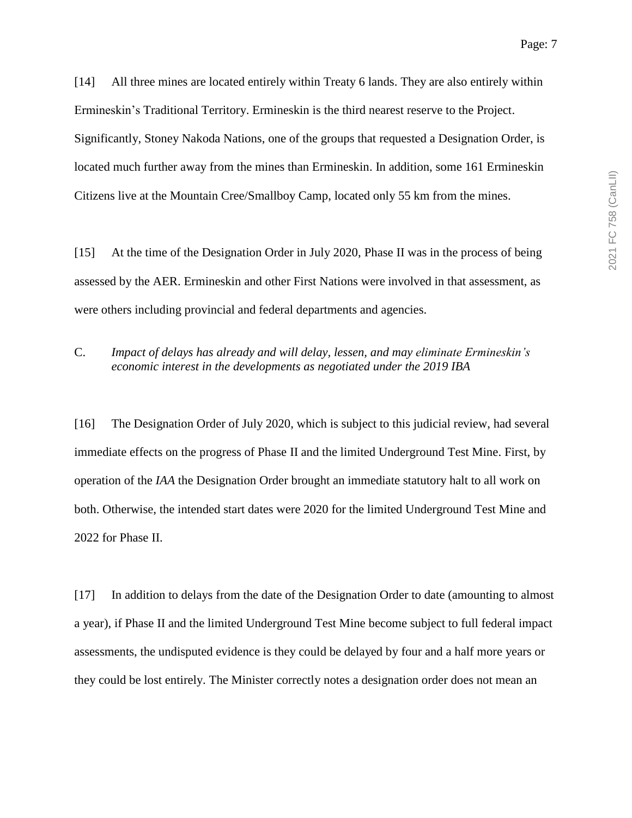Significantly, Stoney Nakoda Nations, one of the groups that requested a Designation Order, is located much further away from the mines than Ermineskin. In addition, some 161 Ermineskin Citizens live at the Mountain Cree/Smallboy Camp, located only 55 km from the mines.

Ermineskin's Traditional Territory. Ermineskin is the third nearest reserve to the Project.

[15] At the time of the Designation Order in July 2020, Phase II was in the process of being assessed by the AER. Ermineskin and other First Nations were involved in that assessment, as were others including provincial and federal departments and agencies.

C. *Impact of delays has already and will delay, lessen, and may eliminate Ermineskin's economic interest in the developments as negotiated under the 2019 IBA*

[16] The Designation Order of July 2020, which is subject to this judicial review, had several immediate effects on the progress of Phase II and the limited Underground Test Mine. First, by operation of the *IAA* the Designation Order brought an immediate statutory halt to all work on both. Otherwise, the intended start dates were 2020 for the limited Underground Test Mine and 2022 for Phase II.

[17] In addition to delays from the date of the Designation Order to date (amounting to almost a year), if Phase II and the limited Underground Test Mine become subject to full federal impact assessments, the undisputed evidence is they could be delayed by four and a half more years or they could be lost entirely. The Minister correctly notes a designation order does not mean an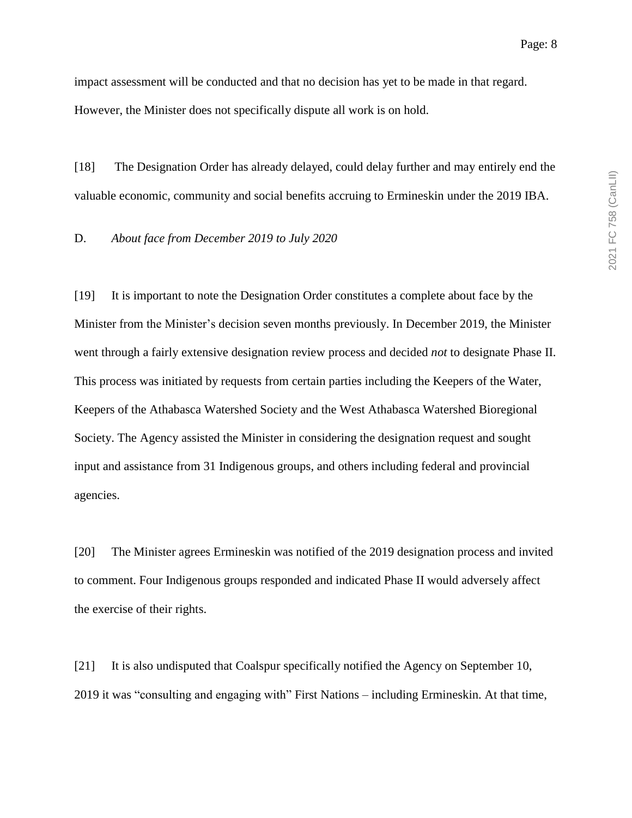impact assessment will be conducted and that no decision has yet to be made in that regard. However, the Minister does not specifically dispute all work is on hold.

[18] The Designation Order has already delayed, could delay further and may entirely end the valuable economic, community and social benefits accruing to Ermineskin under the 2019 IBA.

D. *About face from December 2019 to July 2020*

[19] It is important to note the Designation Order constitutes a complete about face by the Minister from the Minister's decision seven months previously. In December 2019, the Minister went through a fairly extensive designation review process and decided *not* to designate Phase II. This process was initiated by requests from certain parties including the Keepers of the Water, Keepers of the Athabasca Watershed Society and the West Athabasca Watershed Bioregional Society. The Agency assisted the Minister in considering the designation request and sought input and assistance from 31 Indigenous groups, and others including federal and provincial agencies.

[20] The Minister agrees Ermineskin was notified of the 2019 designation process and invited to comment. Four Indigenous groups responded and indicated Phase II would adversely affect the exercise of their rights.

[21] It is also undisputed that Coalspur specifically notified the Agency on September 10, 2019 it was "consulting and engaging with" First Nations – including Ermineskin. At that time,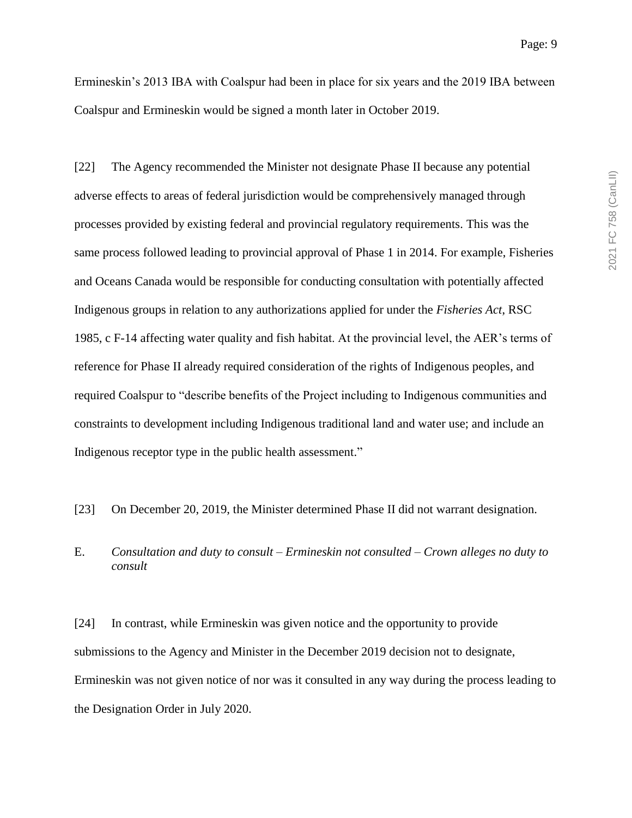Ermineskin's 2013 IBA with Coalspur had been in place for six years and the 2019 IBA between Coalspur and Ermineskin would be signed a month later in October 2019.

[22] The Agency recommended the Minister not designate Phase II because any potential adverse effects to areas of federal jurisdiction would be comprehensively managed through processes provided by existing federal and provincial regulatory requirements. This was the same process followed leading to provincial approval of Phase 1 in 2014. For example, Fisheries and Oceans Canada would be responsible for conducting consultation with potentially affected Indigenous groups in relation to any authorizations applied for under the *Fisheries Act*, RSC 1985, c F-14 affecting water quality and fish habitat. At the provincial level, the AER's terms of reference for Phase II already required consideration of the rights of Indigenous peoples, and required Coalspur to "describe benefits of the Project including to Indigenous communities and constraints to development including Indigenous traditional land and water use; and include an Indigenous receptor type in the public health assessment."

[23] On December 20, 2019, the Minister determined Phase II did not warrant designation.

E. *Consultation and duty to consult – Ermineskin not consulted – Crown alleges no duty to consult*

[24] In contrast, while Ermineskin was given notice and the opportunity to provide submissions to the Agency and Minister in the December 2019 decision not to designate, Ermineskin was not given notice of nor was it consulted in any way during the process leading to the Designation Order in July 2020.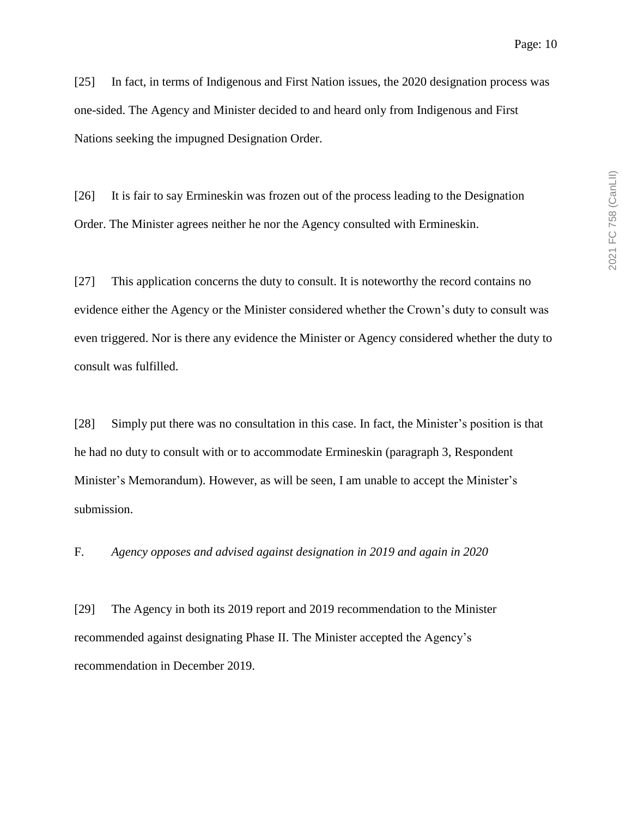[25] In fact, in terms of Indigenous and First Nation issues, the 2020 designation process was one-sided. The Agency and Minister decided to and heard only from Indigenous and First Nations seeking the impugned Designation Order.

[26] It is fair to say Ermineskin was frozen out of the process leading to the Designation Order. The Minister agrees neither he nor the Agency consulted with Ermineskin.

[27] This application concerns the duty to consult. It is noteworthy the record contains no evidence either the Agency or the Minister considered whether the Crown's duty to consult was even triggered. Nor is there any evidence the Minister or Agency considered whether the duty to consult was fulfilled.

[28] Simply put there was no consultation in this case. In fact, the Minister's position is that he had no duty to consult with or to accommodate Ermineskin (paragraph 3, Respondent Minister's Memorandum). However, as will be seen, I am unable to accept the Minister's submission.

F. *Agency opposes and advised against designation in 2019 and again in 2020*

[29] The Agency in both its 2019 report and 2019 recommendation to the Minister recommended against designating Phase II. The Minister accepted the Agency's recommendation in December 2019.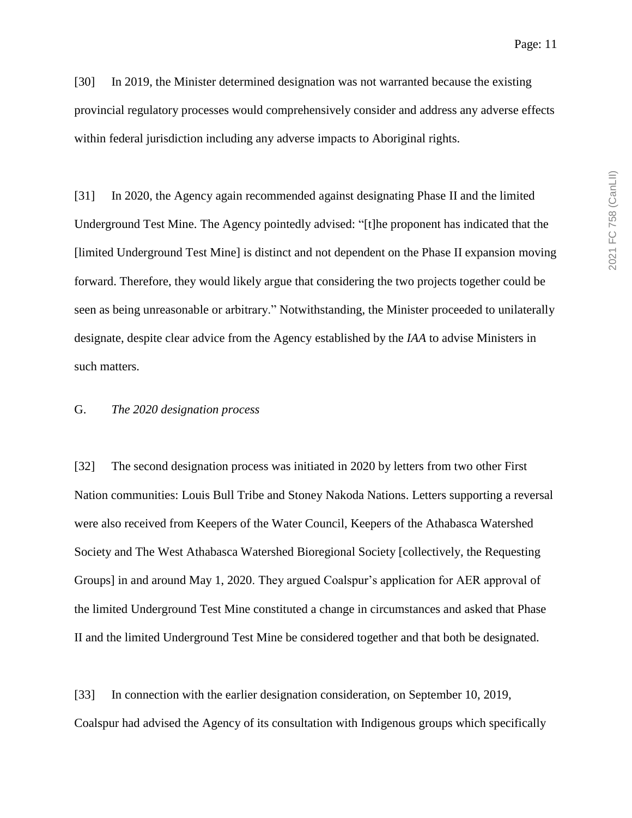[30] In 2019, the Minister determined designation was not warranted because the existing provincial regulatory processes would comprehensively consider and address any adverse effects within federal jurisdiction including any adverse impacts to Aboriginal rights.

[31] In 2020, the Agency again recommended against designating Phase II and the limited Underground Test Mine. The Agency pointedly advised: "[t]he proponent has indicated that the [limited Underground Test Mine] is distinct and not dependent on the Phase II expansion moving forward. Therefore, they would likely argue that considering the two projects together could be seen as being unreasonable or arbitrary." Notwithstanding, the Minister proceeded to unilaterally designate, despite clear advice from the Agency established by the *IAA* to advise Ministers in such matters.

#### G. *The 2020 designation process*

[32] The second designation process was initiated in 2020 by letters from two other First Nation communities: Louis Bull Tribe and Stoney Nakoda Nations. Letters supporting a reversal were also received from Keepers of the Water Council, Keepers of the Athabasca Watershed Society and The West Athabasca Watershed Bioregional Society [collectively, the Requesting Groups] in and around May 1, 2020. They argued Coalspur's application for AER approval of the limited Underground Test Mine constituted a change in circumstances and asked that Phase II and the limited Underground Test Mine be considered together and that both be designated.

[33] In connection with the earlier designation consideration, on September 10, 2019, Coalspur had advised the Agency of its consultation with Indigenous groups which specifically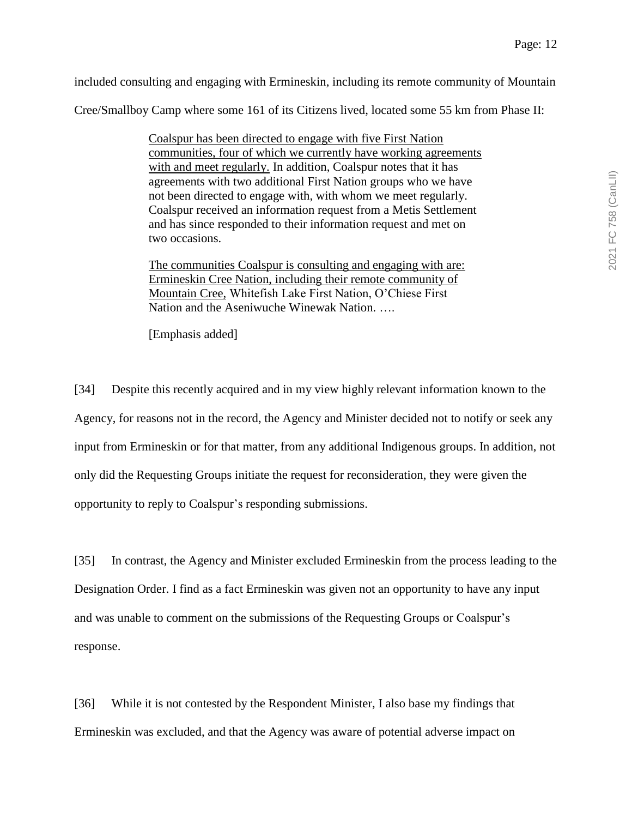included consulting and engaging with Ermineskin, including its remote community of Mountain

Cree/Smallboy Camp where some 161 of its Citizens lived, located some 55 km from Phase II:

Coalspur has been directed to engage with five First Nation communities, four of which we currently have working agreements with and meet regularly. In addition, Coalspur notes that it has agreements with two additional First Nation groups who we have not been directed to engage with, with whom we meet regularly. Coalspur received an information request from a Metis Settlement and has since responded to their information request and met on two occasions.

The communities Coalspur is consulting and engaging with are: Ermineskin Cree Nation, including their remote community of Mountain Cree, Whitefish Lake First Nation, O'Chiese First Nation and the Aseniwuche Winewak Nation. ….

[Emphasis added]

[34] Despite this recently acquired and in my view highly relevant information known to the Agency, for reasons not in the record, the Agency and Minister decided not to notify or seek any input from Ermineskin or for that matter, from any additional Indigenous groups. In addition, not only did the Requesting Groups initiate the request for reconsideration, they were given the opportunity to reply to Coalspur's responding submissions.

[35] In contrast, the Agency and Minister excluded Ermineskin from the process leading to the Designation Order. I find as a fact Ermineskin was given not an opportunity to have any input and was unable to comment on the submissions of the Requesting Groups or Coalspur's response.

[36] While it is not contested by the Respondent Minister, I also base my findings that Ermineskin was excluded, and that the Agency was aware of potential adverse impact on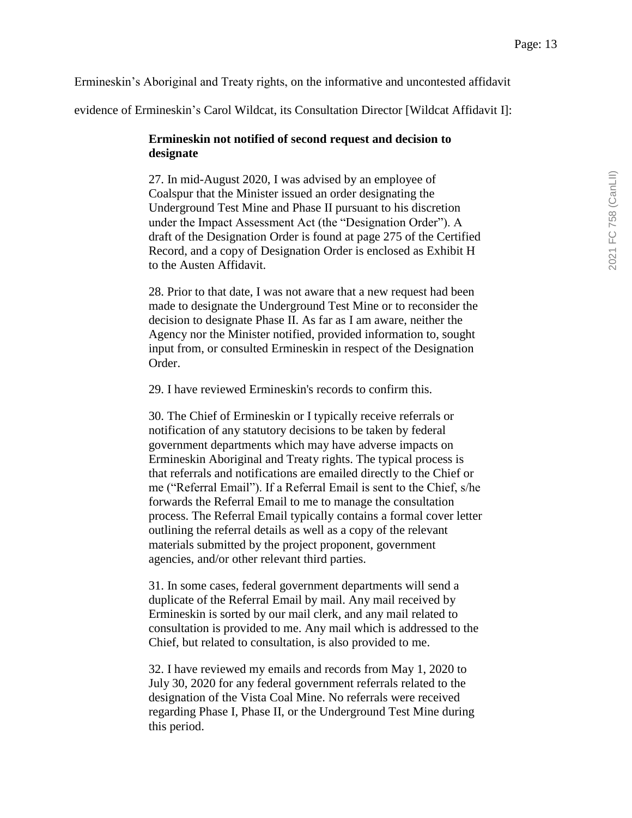Ermineskin's Aboriginal and Treaty rights, on the informative and uncontested affidavit

evidence of Ermineskin's Carol Wildcat, its Consultation Director [Wildcat Affidavit I]:

#### **Ermineskin not notified of second request and decision to designate**

27. In mid-August 2020, I was advised by an employee of Coalspur that the Minister issued an order designating the Underground Test Mine and Phase II pursuant to his discretion under the Impact Assessment Act (the "Designation Order"). A draft of the Designation Order is found at page 275 of the Certified Record, and a copy of Designation Order is enclosed as Exhibit H to the Austen Affidavit.

28. Prior to that date, I was not aware that a new request had been made to designate the Underground Test Mine or to reconsider the decision to designate Phase II. As far as I am aware, neither the Agency nor the Minister notified, provided information to, sought input from, or consulted Ermineskin in respect of the Designation Order.

29. I have reviewed Ermineskin's records to confirm this.

30. The Chief of Ermineskin or I typically receive referrals or notification of any statutory decisions to be taken by federal government departments which may have adverse impacts on Ermineskin Aboriginal and Treaty rights. The typical process is that referrals and notifications are emailed directly to the Chief or me ("Referral Email"). If a Referral Email is sent to the Chief, s/he forwards the Referral Email to me to manage the consultation process. The Referral Email typically contains a formal cover letter outlining the referral details as well as a copy of the relevant materials submitted by the project proponent, government agencies, and/or other relevant third parties.

31. In some cases, federal government departments will send a duplicate of the Referral Email by mail. Any mail received by Ermineskin is sorted by our mail clerk, and any mail related to consultation is provided to me. Any mail which is addressed to the Chief, but related to consultation, is also provided to me.

32. I have reviewed my emails and records from May 1, 2020 to July 30, 2020 for any federal government referrals related to the designation of the Vista Coal Mine. No referrals were received regarding Phase I, Phase II, or the Underground Test Mine during this period.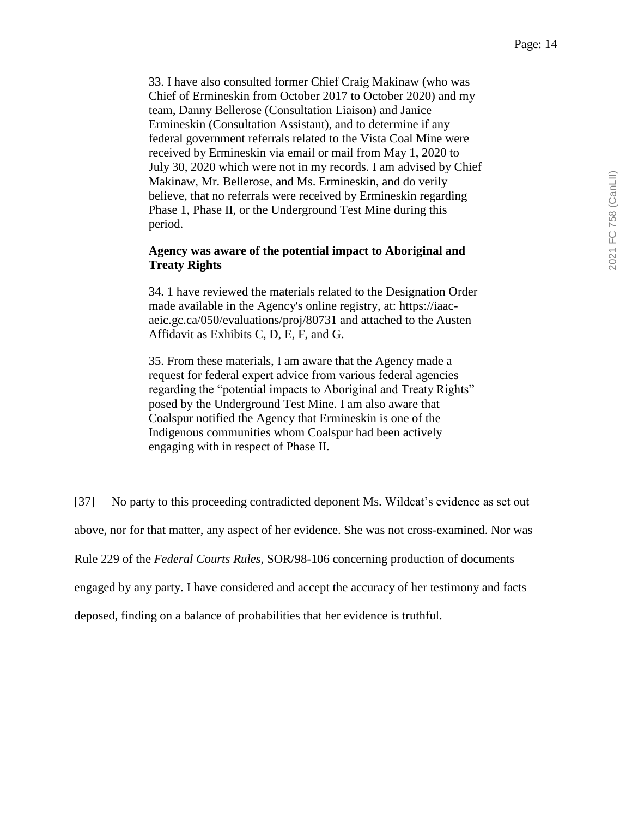33. I have also consulted former Chief Craig Makinaw (who was Chief of Ermineskin from October 2017 to October 2020) and my team, Danny Bellerose (Consultation Liaison) and Janice Ermineskin (Consultation Assistant), and to determine if any federal government referrals related to the Vista Coal Mine were received by Ermineskin via email or mail from May 1, 2020 to July 30, 2020 which were not in my records. I am advised by Chief Makinaw, Mr. Bellerose, and Ms. Ermineskin, and do verily believe, that no referrals were received by Ermineskin regarding Phase 1, Phase II, or the Underground Test Mine during this period.

#### **Agency was aware of the potential impact to Aboriginal and Treaty Rights**

34. 1 have reviewed the materials related to the Designation Order made available in the Agency's online registry, at: https://iaacaeic.gc.ca/050/evaluations/proj/80731 and attached to the Austen Affidavit as Exhibits C, D, E, F, and G.

35. From these materials, I am aware that the Agency made a request for federal expert advice from various federal agencies regarding the "potential impacts to Aboriginal and Treaty Rights" posed by the Underground Test Mine. I am also aware that Coalspur notified the Agency that Ermineskin is one of the Indigenous communities whom Coalspur had been actively engaging with in respect of Phase II.

[37] No party to this proceeding contradicted deponent Ms. Wildcat's evidence as set out above, nor for that matter, any aspect of her evidence. She was not cross-examined. Nor was Rule 229 of the *Federal Courts Rules*, SOR/98-106 concerning production of documents engaged by any party. I have considered and accept the accuracy of her testimony and facts deposed, finding on a balance of probabilities that her evidence is truthful.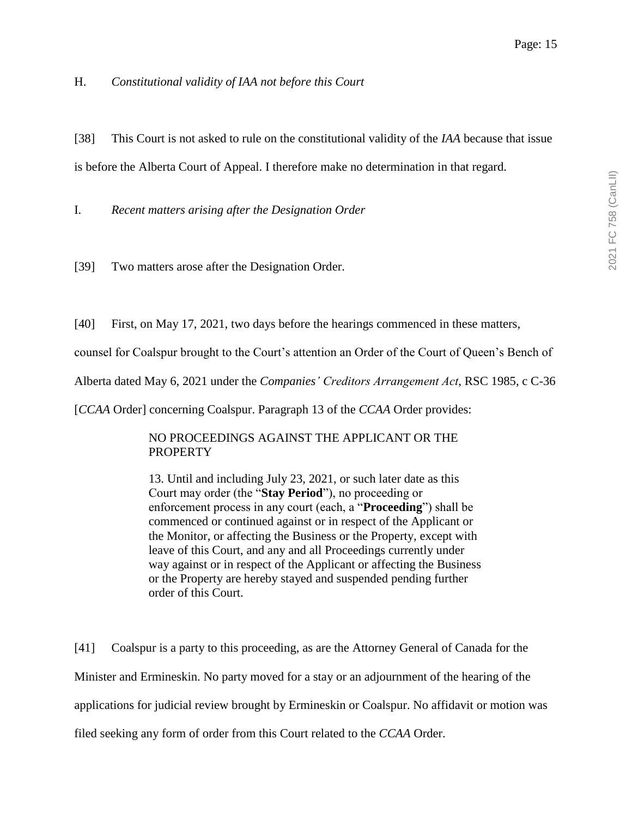H. *Constitutional validity of IAA not before this Court*

[38] This Court is not asked to rule on the constitutional validity of the *IAA* because that issue is before the Alberta Court of Appeal. I therefore make no determination in that regard.

I. *Recent matters arising after the Designation Order*

[39] Two matters arose after the Designation Order.

[40] First, on May 17, 2021, two days before the hearings commenced in these matters,

counsel for Coalspur brought to the Court's attention an Order of the Court of Queen's Bench of

Alberta dated May 6, 2021 under the *Companies' Creditors Arrangement Act*, RSC 1985, c C-36

[*CCAA* Order] concerning Coalspur. Paragraph 13 of the *CCAA* Order provides:

## NO PROCEEDINGS AGAINST THE APPLICANT OR THE PROPERTY

13. Until and including July 23, 2021, or such later date as this Court may order (the "**Stay Period**"), no proceeding or enforcement process in any court (each, a "**Proceeding**") shall be commenced or continued against or in respect of the Applicant or the Monitor, or affecting the Business or the Property, except with leave of this Court, and any and all Proceedings currently under way against or in respect of the Applicant or affecting the Business or the Property are hereby stayed and suspended pending further order of this Court.

[41] Coalspur is a party to this proceeding, as are the Attorney General of Canada for the Minister and Ermineskin. No party moved for a stay or an adjournment of the hearing of the applications for judicial review brought by Ermineskin or Coalspur. No affidavit or motion was filed seeking any form of order from this Court related to the *CCAA* Order.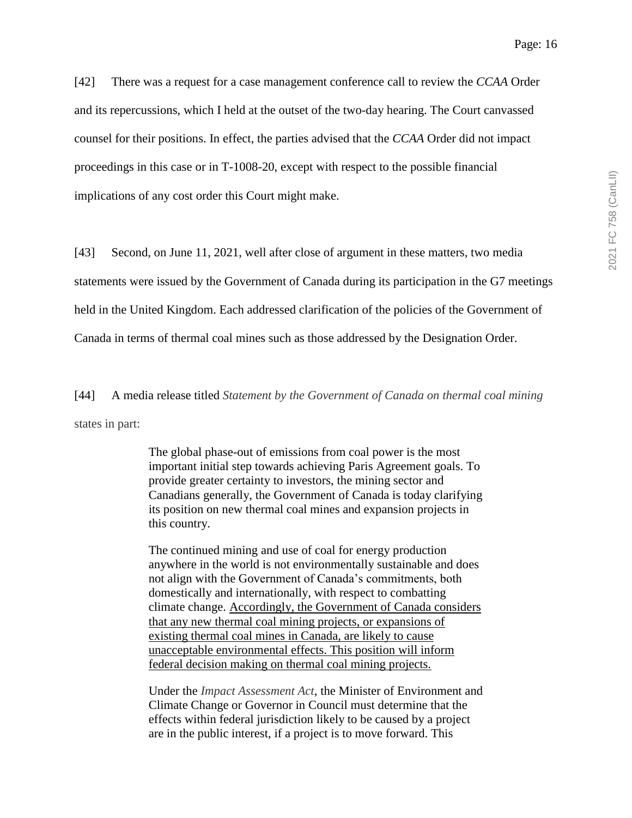[42] There was a request for a case management conference call to review the *CCAA* Order and its repercussions, which I held at the outset of the two-day hearing. The Court canvassed counsel for their positions. In effect, the parties advised that the *CCAA* Order did not impact proceedings in this case or in T-1008-20, except with respect to the possible financial implications of any cost order this Court might make.

[43] Second, on June 11, 2021, well after close of argument in these matters, two media statements were issued by the Government of Canada during its participation in the G7 meetings held in the United Kingdom. Each addressed clarification of the policies of the Government of Canada in terms of thermal coal mines such as those addressed by the Designation Order.

[44] A media release titled *Statement by the Government of Canada on thermal coal mining* states in part:

> The global phase-out of emissions from coal power is the most important initial step towards achieving Paris Agreement goals. To provide greater certainty to investors, the mining sector and Canadians generally, the Government of Canada is today clarifying its position on new thermal coal mines and expansion projects in this country.

> The continued mining and use of coal for energy production anywhere in the world is not environmentally sustainable and does not align with the Government of Canada's commitments, both domestically and internationally, with respect to combatting climate change. Accordingly, the Government of Canada considers that any new thermal coal mining projects, or expansions of existing thermal coal mines in Canada, are likely to cause unacceptable environmental effects. This position will inform federal decision making on thermal coal mining projects.

> Under the *Impact Assessment Act*, the Minister of Environment and Climate Change or Governor in Council must determine that the effects within federal jurisdiction likely to be caused by a project are in the public interest, if a project is to move forward. This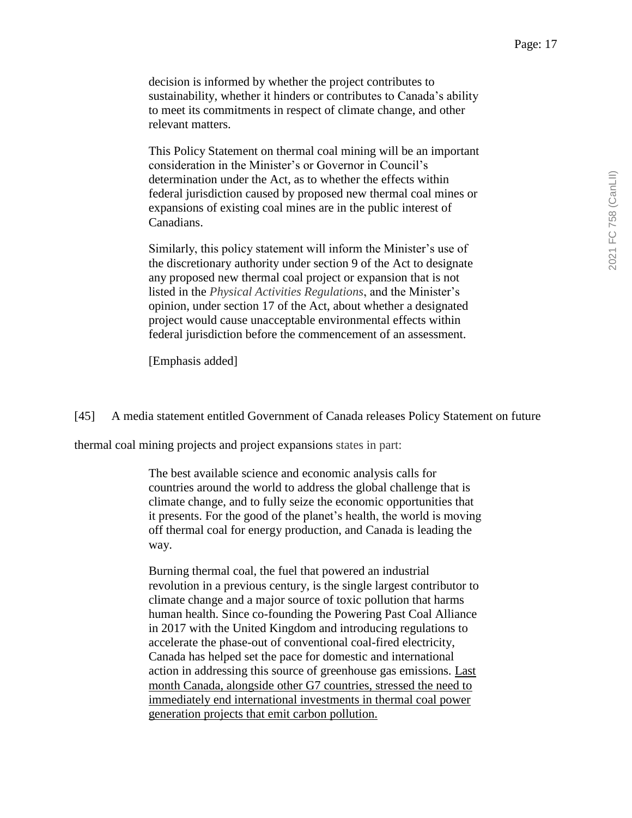decision is informed by whether the project contributes to sustainability, whether it hinders or contributes to Canada's ability to meet its commitments in respect of climate change, and other relevant matters.

This Policy Statement on thermal coal mining will be an important consideration in the Minister's or Governor in Council's determination under the Act, as to whether the effects within federal jurisdiction caused by proposed new thermal coal mines or expansions of existing coal mines are in the public interest of Canadians.

Similarly, this policy statement will inform the Minister's use of the discretionary authority under section 9 of the Act to designate any proposed new thermal coal project or expansion that is not listed in the *Physical Activities Regulations*, and the Minister's opinion, under section 17 of the Act, about whether a designated project would cause unacceptable environmental effects within federal jurisdiction before the commencement of an assessment.

[Emphasis added]

[45] A media statement entitled Government of Canada releases Policy Statement on future

thermal coal mining projects and project expansions states in part:

The best available science and economic analysis calls for countries around the world to address the global challenge that is climate change, and to fully seize the economic opportunities that it presents. For the good of the planet's health, the world is moving off thermal coal for energy production, and Canada is leading the way.

Burning thermal coal, the fuel that powered an industrial revolution in a previous century, is the single largest contributor to climate change and a major source of toxic pollution that harms human health. Since co-founding the Powering Past Coal Alliance in 2017 with the United Kingdom and introducing regulations to accelerate the phase-out of conventional coal-fired electricity, Canada has helped set the pace for domestic and international action in addressing this source of greenhouse gas emissions. Last month Canada, alongside other G7 countries, stressed the need to immediately end international investments in thermal coal power generation projects that emit carbon pollution.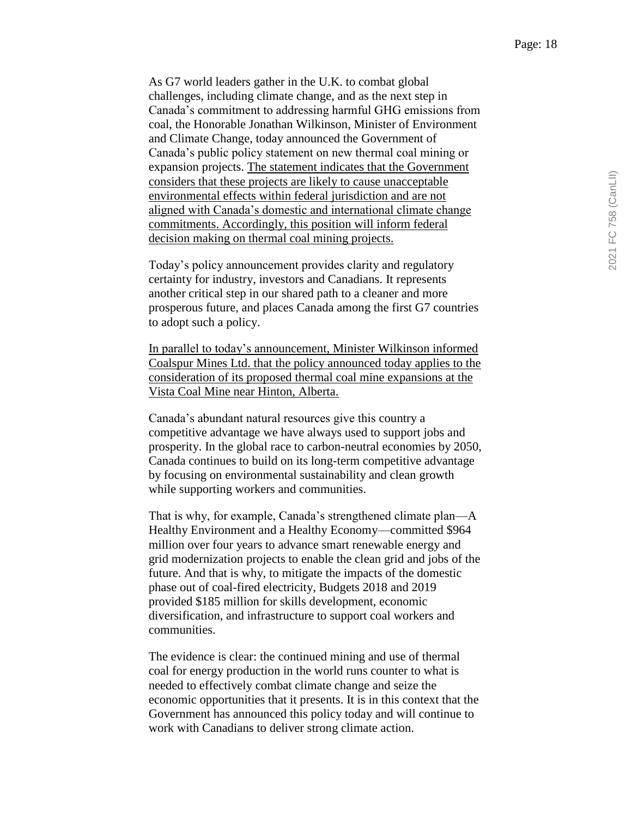As G7 world leaders gather in the U.K. to combat global challenges, including climate change, and as the next step in Canada's commitment to addressing harmful GHG emissions from coal, the Honorable Jonathan Wilkinson, Minister of Environment and Climate Change, today announced the Government of Canada's public policy statement on new thermal coal mining or expansion projects. The statement indicates that the Government considers that these projects are likely to cause unacceptable environmental effects within federal jurisdiction and are not aligned with Canada's domestic and international climate change commitments. Accordingly, this position will inform federal decision making on thermal coal mining projects.

Today's policy announcement provides clarity and regulatory certainty for industry, investors and Canadians. It represents another critical step in our shared path to a cleaner and more prosperous future, and places Canada among the first G7 countries to adopt such a policy.

In parallel to today's announcement, Minister Wilkinson informed Coalspur Mines Ltd. that the policy announced today applies to the consideration of its proposed thermal coal mine expansions at the Vista Coal Mine near Hinton, Alberta.

Canada's abundant natural resources give this country a competitive advantage we have always used to support jobs and prosperity. In the global race to carbon-neutral economies by 2050, Canada continues to build on its long-term competitive advantage by focusing on environmental sustainability and clean growth while supporting workers and communities.

That is why, for example, Canada's strengthened climate plan—A Healthy Environment and a Healthy Economy—committed \$964 million over four years to advance smart renewable energy and grid modernization projects to enable the clean grid and jobs of the future. And that is why, to mitigate the impacts of the domestic phase out of coal-fired electricity, Budgets 2018 and 2019 provided \$185 million for skills development, economic diversification, and infrastructure to support coal workers and communities.

The evidence is clear: the continued mining and use of thermal coal for energy production in the world runs counter to what is needed to effectively combat climate change and seize the economic opportunities that it presents. It is in this context that the Government has announced this policy today and will continue to work with Canadians to deliver strong climate action.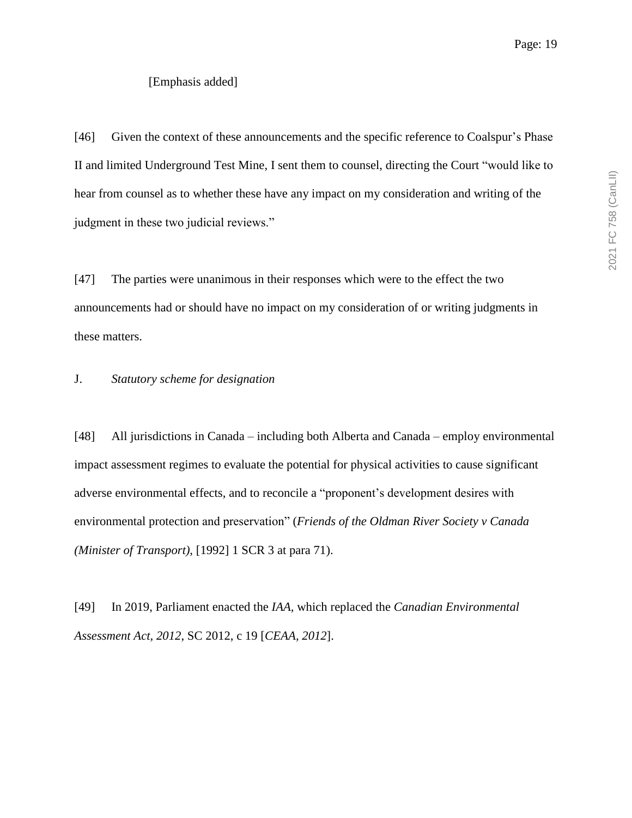#### [Emphasis added]

[46] Given the context of these announcements and the specific reference to Coalspur's Phase II and limited Underground Test Mine, I sent them to counsel, directing the Court "would like to hear from counsel as to whether these have any impact on my consideration and writing of the judgment in these two judicial reviews."

[47] The parties were unanimous in their responses which were to the effect the two announcements had or should have no impact on my consideration of or writing judgments in these matters.

#### J. *Statutory scheme for designation*

[48] All jurisdictions in Canada – including both Alberta and Canada – employ environmental impact assessment regimes to evaluate the potential for physical activities to cause significant adverse environmental effects, and to reconcile a "proponent's development desires with environmental protection and preservation" (*Friends of the Oldman River Society v Canada (Minister of Transport)*, [1992] 1 SCR 3 at para 71).

[49] In 2019, Parliament enacted the *IAA,* which replaced the *Canadian Environmental Assessment Act, 2012*, SC 2012, c 19 [*CEAA, 2012*].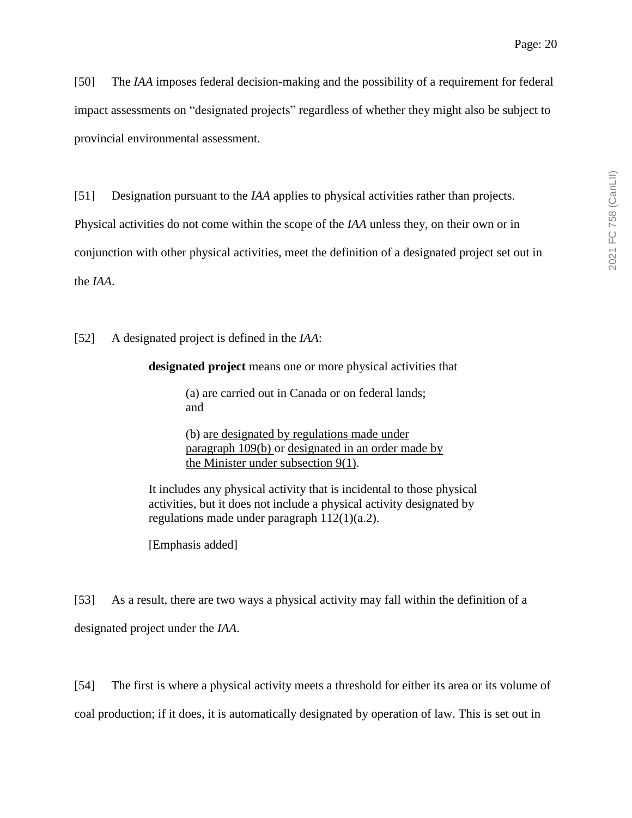[50] The *IAA* imposes federal decision-making and the possibility of a requirement for federal impact assessments on "designated projects" regardless of whether they might also be subject to provincial environmental assessment.

[51] Designation pursuant to the *IAA* applies to physical activities rather than projects.

Physical activities do not come within the scope of the *IAA* unless they, on their own or in

conjunction with other physical activities, meet the definition of a designated project set out in

the *IAA*.

[52] A designated project is defined in the *IAA*:

**designated project** means one or more physical activities that

(a) are carried out in Canada or on federal lands; and

(b) are designated by regulations made under paragraph 109(b) or designated in an order made by the Minister under subsection 9(1).

It includes any physical activity that is incidental to those physical activities, but it does not include a physical activity designated by regulations made under paragraph 112(1)(a.2).

[Emphasis added]

[53] As a result, there are two ways a physical activity may fall within the definition of a designated project under the *IAA*.

[54] The first is where a physical activity meets a threshold for either its area or its volume of coal production; if it does, it is automatically designated by operation of law. This is set out in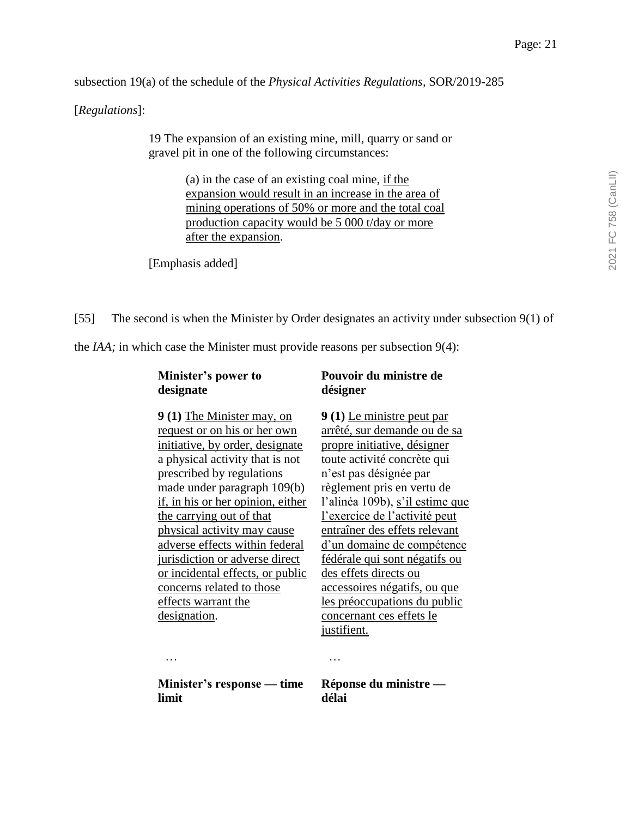subsection 19(a) of the schedule of the *Physical Activities Regulations*, SOR/2019-285

[*Regulations*]:

19 The expansion of an existing mine, mill, quarry or sand or gravel pit in one of the following circumstances:

> (a) in the case of an existing coal mine, if the expansion would result in an increase in the area of mining operations of 50% or more and the total coal production capacity would be 5 000 t/day or more after the expansion.

[Emphasis added]

#### [55] The second is when the Minister by Order designates an activity under subsection 9(1) of

the *IAA;* in which case the Minister must provide reasons per subsection 9(4):

| Minister's power to |  |
|---------------------|--|
| designate           |  |

## **Pouvoir du ministre de désigner**

**9 (1)** The Minister may, on request or on his or her own initiative, by order, designate a physical activity that is not prescribed by regulations made under paragraph 109(b) if, in his or her opinion, either the carrying out of that physical activity may cause adverse effects within federal jurisdiction or adverse direct or incidental effects, or public concerns related to those effects warrant the designation.

**9 (1)** Le ministre peut par arrêté, sur demande ou de sa propre initiative, désigner toute activité concrète qui n'est pas désignée par règlement pris en vertu de l'alinéa 109b), s'il estime que l'exercice de l'activité peut entraîner des effets relevant d'un domaine de compétence fédérale qui sont négatifs ou des effets directs ou accessoires négatifs, ou que les préoccupations du public concernant ces effets le justifient.

… …

**Minister's response — time limit**

**Réponse du ministre délai**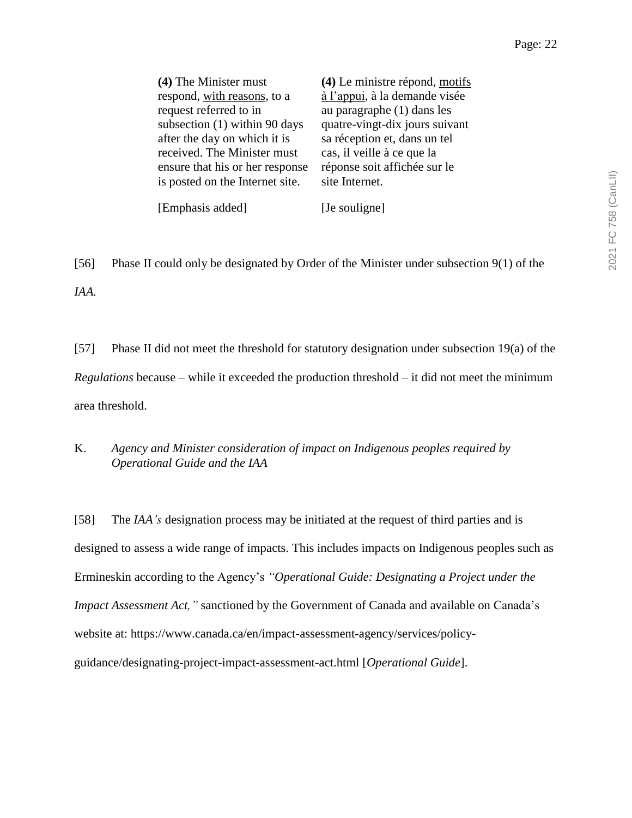| (4) The Minister must           | (4) Le ministre répond, motifs |
|---------------------------------|--------------------------------|
| respond, with reasons, to a     | à l'appui, à la demande visée  |
| request referred to in          | au paragraphe (1) dans les     |
| subsection (1) within 90 days   | quatre-vingt-dix jours suivant |
| after the day on which it is    | sa réception et, dans un tel   |
| received. The Minister must     | cas, il veille à ce que la     |
| ensure that his or her response | réponse soit affichée sur le   |
| is posted on the Internet site. | site Internet.                 |
|                                 |                                |

[56] Phase II could only be designated by Order of the Minister under subsection 9(1) of the *IAA.*

[Emphasis added] [Je souligne]

[57] Phase II did not meet the threshold for statutory designation under subsection 19(a) of the *Regulations* because – while it exceeded the production threshold – it did not meet the minimum area threshold.

## K. *Agency and Minister consideration of impact on Indigenous peoples required by Operational Guide and the IAA*

[58] The *IAA's* designation process may be initiated at the request of third parties and is designed to assess a wide range of impacts. This includes impacts on Indigenous peoples such as Ermineskin according to the Agency's *"Operational Guide: Designating a Project under the Impact Assessment Act,"* sanctioned by the Government of Canada and available on Canada's website at: https://www.canada.ca/en/impact-assessment-agency/services/policyguidance/designating-project-impact-assessment-act.html [*Operational Guide*].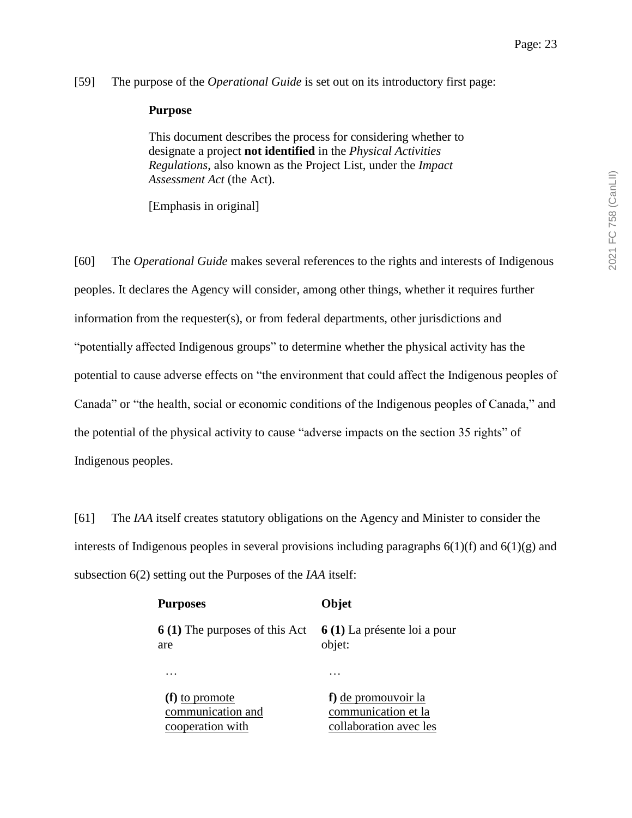[59] The purpose of the *Operational Guide* is set out on its introductory first page:

#### **Purpose**

This document describes the process for considering whether to designate a project **not identified** in the *Physical Activities Regulations*, also known as the Project List, under the *Impact Assessment Act* (the Act).

[Emphasis in original]

[60] The *Operational Guide* makes several references to the rights and interests of Indigenous peoples. It declares the Agency will consider, among other things, whether it requires further information from the requester(s), or from federal departments, other jurisdictions and "potentially affected Indigenous groups" to determine whether the physical activity has the potential to cause adverse effects on "the environment that could affect the Indigenous peoples of Canada" or "the health, social or economic conditions of the Indigenous peoples of Canada," and the potential of the physical activity to cause "adverse impacts on the section 35 rights" of Indigenous peoples.

[61] The *IAA* itself creates statutory obligations on the Agency and Minister to consider the interests of Indigenous peoples in several provisions including paragraphs  $6(1)(f)$  and  $6(1)(g)$  and subsection 6(2) setting out the Purposes of the *IAA* itself:

| <b>Purposes</b>                       | Objet                        |
|---------------------------------------|------------------------------|
| <b>6 (1)</b> The purposes of this Act | 6 (1) La présente loi a pour |
| are                                   | objet:                       |
|                                       | $\ddotsc$                    |
| (f) to promote                        | f) <u>de promouvoir la</u>   |
| communication and                     | communication et la          |
| cooperation with                      | collaboration avec les       |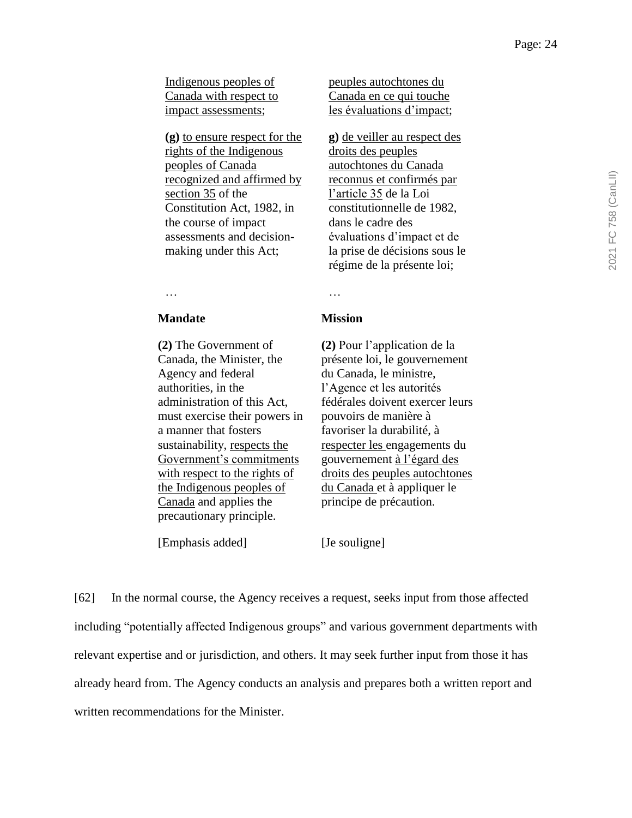Indigenous peoples of Canada with respect to impact assessments;

**(g)** to ensure respect for the rights of the Indigenous peoples of Canada recognized and affirmed by section 35 of the Constitution Act, 1982, in the course of impact assessments and decisionmaking under this Act;

peuples autochtones du Canada en ce qui touche les évaluations d'impact;

**g)** de veiller au respect des droits des peuples autochtones du Canada reconnus et confirmés par l'article 35 de la Loi constitutionnelle de 1982, dans le cadre des évaluations d'impact et de la prise de décisions sous le régime de la présente loi;

… … … … … … … … … … … … … … …

#### **Mandate Mission**

**(2)** The Government of Canada, the Minister, the Agency and federal authorities, in the administration of this Act, must exercise their powers in a manner that fosters sustainability, respects the Government's commitments with respect to the rights of the Indigenous peoples of Canada and applies the precautionary principle.

[Emphasis added] [Je souligne]

**(2)** Pour l'application de la présente loi, le gouvernement du Canada, le ministre, l'Agence et les autorités fédérales doivent exercer leurs pouvoirs de manière à favoriser la durabilité, à respecter les engagements du gouvernement à l'égard des droits des peuples autochtones du Canada et à appliquer le principe de précaution.

[62] In the normal course, the Agency receives a request, seeks input from those affected including "potentially affected Indigenous groups" and various government departments with relevant expertise and or jurisdiction, and others. It may seek further input from those it has already heard from. The Agency conducts an analysis and prepares both a written report and written recommendations for the Minister.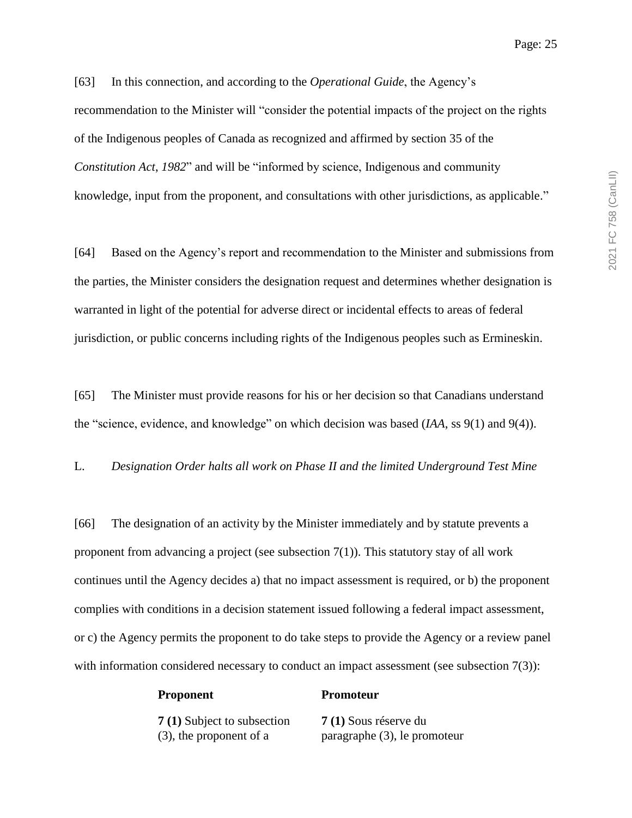[63] In this connection, and according to the *Operational Guide*, the Agency's recommendation to the Minister will "consider the potential impacts of the project on the rights of the Indigenous peoples of Canada as recognized and affirmed by section 35 of the *Constitution Act*, *1982*" and will be "informed by science, Indigenous and community knowledge, input from the proponent, and consultations with other jurisdictions, as applicable."

[64] Based on the Agency's report and recommendation to the Minister and submissions from the parties, the Minister considers the designation request and determines whether designation is warranted in light of the potential for adverse direct or incidental effects to areas of federal jurisdiction, or public concerns including rights of the Indigenous peoples such as Ermineskin.

[65] The Minister must provide reasons for his or her decision so that Canadians understand the "science, evidence, and knowledge" on which decision was based (*IAA*, ss 9(1) and 9(4)).

L. *Designation Order halts all work on Phase II and the limited Underground Test Mine*

[66] The designation of an activity by the Minister immediately and by statute prevents a proponent from advancing a project (see subsection 7(1)). This statutory stay of all work continues until the Agency decides a) that no impact assessment is required, or b) the proponent complies with conditions in a decision statement issued following a federal impact assessment, or c) the Agency permits the proponent to do take steps to provide the Agency or a review panel with information considered necessary to conduct an impact assessment (see subsection 7(3)):

| 7 (1) Subject to subsection |
|-----------------------------|
| (3), the proponent of a     |

**Proponent Promoteur**

**7 (1)** Sous réserve du paragraphe (3), le promoteur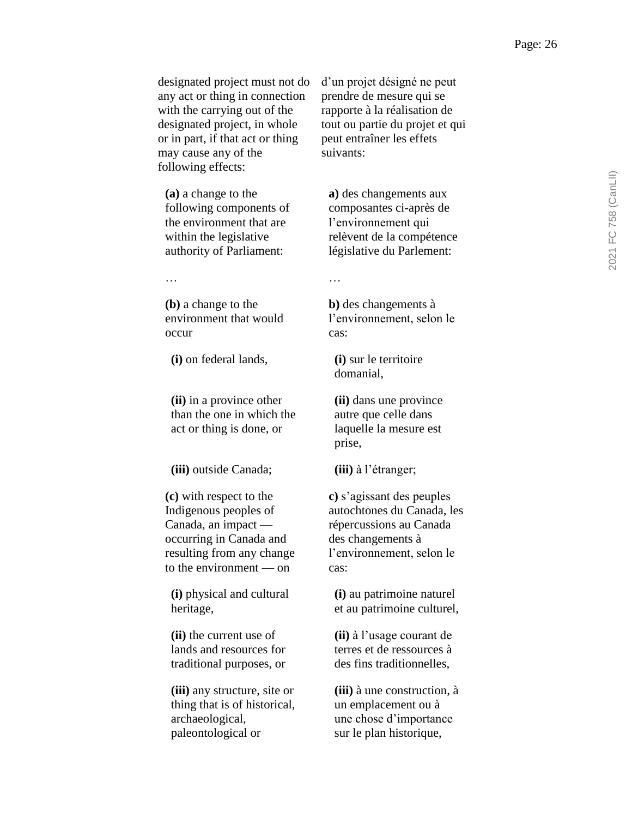designated project must not do any act or thing in connection with the carrying out of the designated project, in whole or in part, if that act or thing may cause any of the following effects:

**(a)** a change to the following components of the environment that are within the legislative authority of Parliament:

… …

**(b)** a change to the environment that would occur

**(i)** on federal lands, **(i)** sur le territoire

**(ii)** in a province other than the one in which the act or thing is done, or

**(iii)** outside Canada; **(iii)** à l'étranger;

**(c)** with respect to the Indigenous peoples of Canada, an impact occurring in Canada and resulting from any change to the environment — on

**(i)** physical and cultural heritage,

**(ii)** the current use of lands and resources for traditional purposes, or

**(iii)** any structure, site or thing that is of historical, archaeological, paleontological or

d'un projet désigné ne peut prendre de mesure qui se rapporte à la réalisation de tout ou partie du projet et qui peut entraîner les effets suivants:

**a)** des changements aux composantes ci-après de l'environnement qui relèvent de la compétence législative du Parlement:

**b)** des changements à l'environnement, selon le cas:

domanial,

**(ii)** dans une province autre que celle dans laquelle la mesure est prise,

**c)** s'agissant des peuples autochtones du Canada, les répercussions au Canada des changements à l'environnement, selon le cas:

**(i)** au patrimoine naturel et au patrimoine culturel,

**(ii)** à l'usage courant de terres et de ressources à des fins traditionnelles,

**(iii)** à une construction, à un emplacement ou à une chose d'importance sur le plan historique,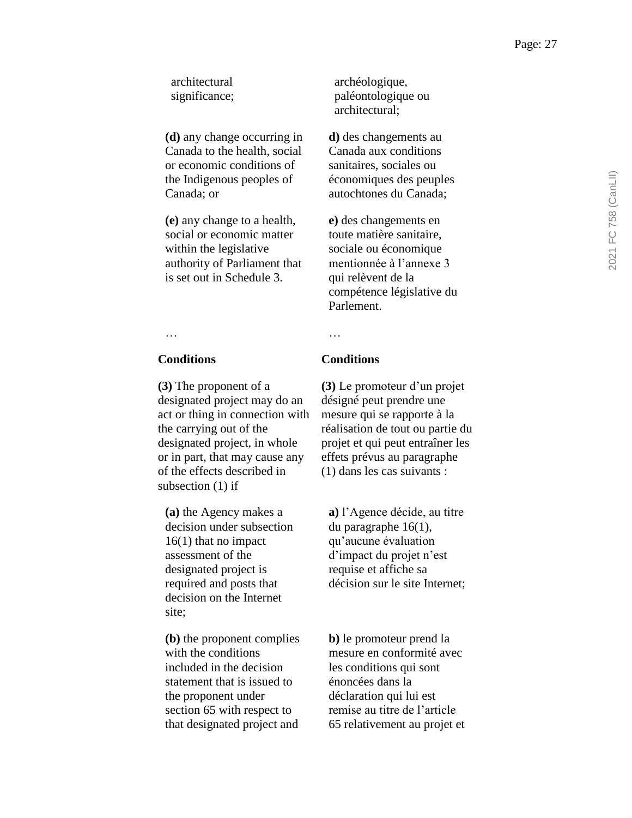architectural significance;

**(d)** any change occurring in Canada to the health, social or economic conditions of the Indigenous peoples of Canada; or

**(e)** any change to a health, social or economic matter within the legislative authority of Parliament that is set out in Schedule 3.

archéologique, paléontologique ou architectural;

**d)** des changements au Canada aux conditions sanitaires, sociales ou économiques des peuples autochtones du Canada;

**e)** des changements en toute matière sanitaire, sociale ou économique mentionnée à l'annexe 3 qui relèvent de la compétence législative du Parlement.

## … …

**(3)** The proponent of a designated project may do an act or thing in connection with the carrying out of the designated project, in whole or in part, that may cause any of the effects described in subsection (1) if

**(a)** the Agency makes a decision under subsection 16(1) that no impact assessment of the designated project is required and posts that decision on the Internet site;

**(b)** the proponent complies with the conditions included in the decision statement that is issued to the proponent under section 65 with respect to that designated project and

## **Conditions Conditions**

**(3)** Le promoteur d'un projet désigné peut prendre une mesure qui se rapporte à la réalisation de tout ou partie du projet et qui peut entraîner les effets prévus au paragraphe (1) dans les cas suivants :

**a)** l'Agence décide, au titre du paragraphe 16(1), qu'aucune évaluation d'impact du projet n'est requise et affiche sa décision sur le site Internet;

**b)** le promoteur prend la mesure en conformité avec les conditions qui sont énoncées dans la déclaration qui lui est remise au titre de l'article 65 relativement au projet et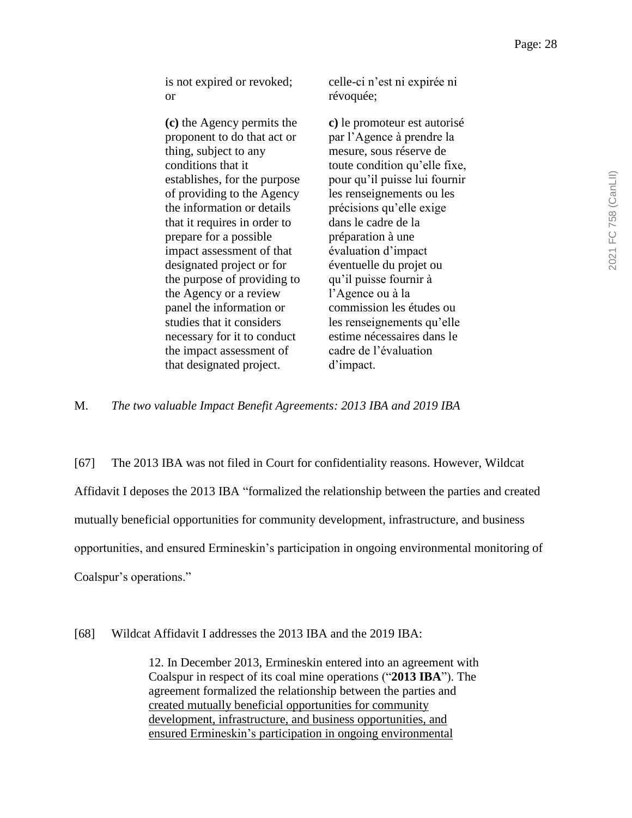is not expired or revoked; or

**(c)** the Agency permits the proponent to do that act or thing, subject to any conditions that it establishes, for the purpose of providing to the Agency the information or details that it requires in order to prepare for a possible impact assessment of that designated project or for the purpose of providing to the Agency or a review panel the information or studies that it considers necessary for it to conduct the impact assessment of that designated project.

celle-ci n'est ni expirée ni révoquée;

**c)** le promoteur est autorisé par l'Agence à prendre la mesure, sous réserve de toute condition qu'elle fixe, pour qu'il puisse lui fournir les renseignements ou les précisions qu'elle exige dans le cadre de la préparation à une évaluation d'impact éventuelle du projet ou qu'il puisse fournir à l'Agence ou à la commission les études ou les renseignements qu'elle estime nécessaires dans le cadre de l'évaluation d'impact.

M. *The two valuable Impact Benefit Agreements: 2013 IBA and 2019 IBA*

[67] The 2013 IBA was not filed in Court for confidentiality reasons. However, Wildcat Affidavit I deposes the 2013 IBA "formalized the relationship between the parties and created mutually beneficial opportunities for community development, infrastructure, and business opportunities, and ensured Ermineskin's participation in ongoing environmental monitoring of Coalspur's operations."

[68] Wildcat Affidavit I addresses the 2013 IBA and the 2019 IBA:

12. In December 2013, Ermineskin entered into an agreement with Coalspur in respect of its coal mine operations ("**2013 IBA**"). The agreement formalized the relationship between the parties and created mutually beneficial opportunities for community development, infrastructure, and business opportunities, and ensured Ermineskin's participation in ongoing environmental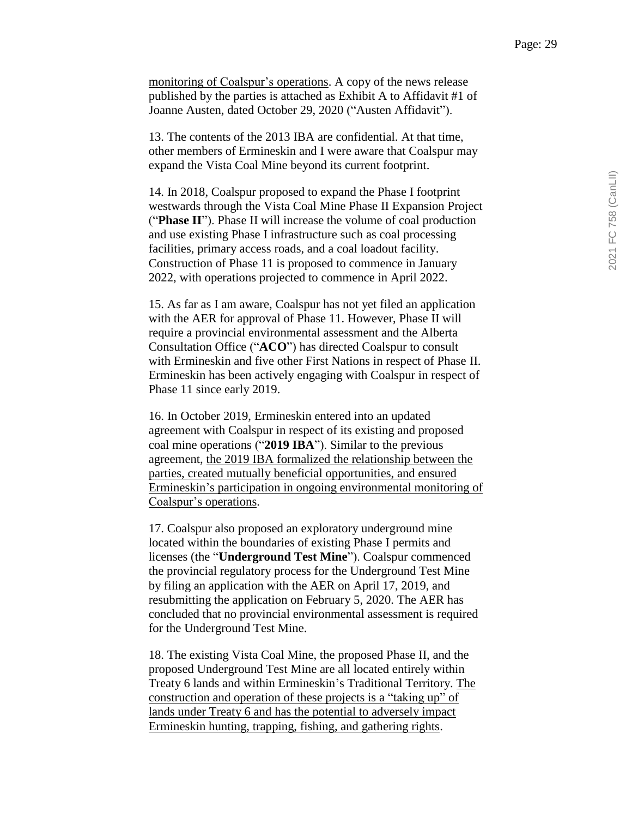monitoring of Coalspur's operations. A copy of the news release published by the parties is attached as Exhibit A to Affidavit #1 of Joanne Austen, dated October 29, 2020 ("Austen Affidavit").

13. The contents of the 2013 IBA are confidential. At that time, other members of Ermineskin and I were aware that Coalspur may expand the Vista Coal Mine beyond its current footprint.

14. In 2018, Coalspur proposed to expand the Phase I footprint westwards through the Vista Coal Mine Phase II Expansion Project ("**Phase II**"). Phase II will increase the volume of coal production and use existing Phase I infrastructure such as coal processing facilities, primary access roads, and a coal loadout facility. Construction of Phase 11 is proposed to commence in January 2022, with operations projected to commence in April 2022.

15. As far as I am aware, Coalspur has not yet filed an application with the AER for approval of Phase 11. However, Phase II will require a provincial environmental assessment and the Alberta Consultation Office ("**ACO**") has directed Coalspur to consult with Ermineskin and five other First Nations in respect of Phase II. Ermineskin has been actively engaging with Coalspur in respect of Phase 11 since early 2019.

16. In October 2019, Ermineskin entered into an updated agreement with Coalspur in respect of its existing and proposed coal mine operations ("**2019 IBA**"). Similar to the previous agreement, the 2019 IBA formalized the relationship between the parties, created mutually beneficial opportunities, and ensured Ermineskin's participation in ongoing environmental monitoring of Coalspur's operations.

17. Coalspur also proposed an exploratory underground mine located within the boundaries of existing Phase I permits and licenses (the "**Underground Test Mine**"). Coalspur commenced the provincial regulatory process for the Underground Test Mine by filing an application with the AER on April 17, 2019, and resubmitting the application on February 5, 2020. The AER has concluded that no provincial environmental assessment is required for the Underground Test Mine.

18. The existing Vista Coal Mine, the proposed Phase II, and the proposed Underground Test Mine are all located entirely within Treaty 6 lands and within Ermineskin's Traditional Territory. The construction and operation of these projects is a "taking up" of lands under Treaty 6 and has the potential to adversely impact Ermineskin hunting, trapping, fishing, and gathering rights.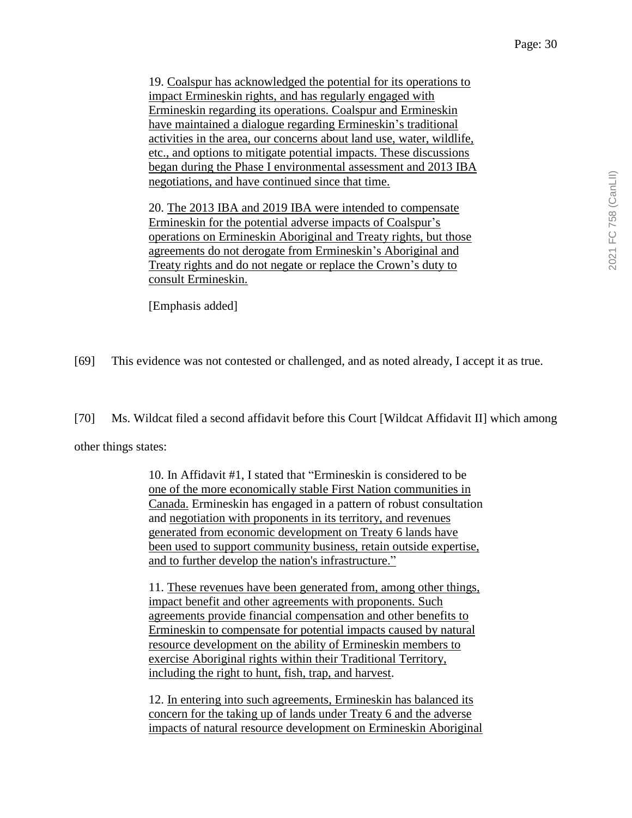19. Coalspur has acknowledged the potential for its operations to impact Ermineskin rights, and has regularly engaged with Ermineskin regarding its operations. Coalspur and Ermineskin have maintained a dialogue regarding Ermineskin's traditional activities in the area, our concerns about land use, water, wildlife, etc., and options to mitigate potential impacts. These discussions began during the Phase I environmental assessment and 2013 IBA negotiations, and have continued since that time.

20. The 2013 IBA and 2019 IBA were intended to compensate Ermineskin for the potential adverse impacts of Coalspur's operations on Ermineskin Aboriginal and Treaty rights, but those agreements do not derogate from Ermineskin's Aboriginal and Treaty rights and do not negate or replace the Crown's duty to consult Ermineskin.

[Emphasis added]

[69] This evidence was not contested or challenged, and as noted already, I accept it as true.

[70] Ms. Wildcat filed a second affidavit before this Court [Wildcat Affidavit II] which among

other things states:

10. In Affidavit #1, I stated that "Ermineskin is considered to be one of the more economically stable First Nation communities in Canada. Ermineskin has engaged in a pattern of robust consultation and negotiation with proponents in its territory, and revenues generated from economic development on Treaty 6 lands have been used to support community business, retain outside expertise, and to further develop the nation's infrastructure."

11. These revenues have been generated from, among other things, impact benefit and other agreements with proponents. Such agreements provide financial compensation and other benefits to Ermineskin to compensate for potential impacts caused by natural resource development on the ability of Ermineskin members to exercise Aboriginal rights within their Traditional Territory, including the right to hunt, fish, trap, and harvest.

12. In entering into such agreements, Ermineskin has balanced its concern for the taking up of lands under Treaty 6 and the adverse impacts of natural resource development on Ermineskin Aboriginal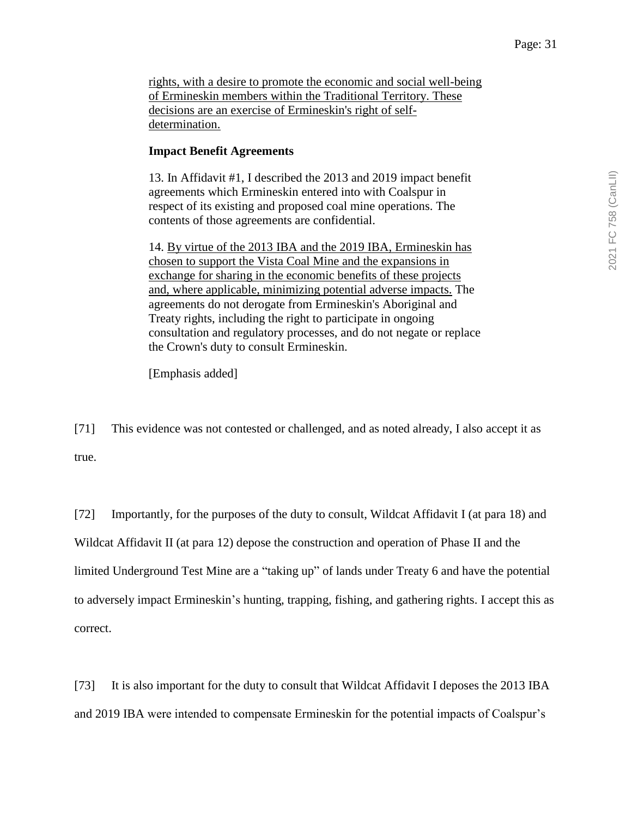rights, with a desire to promote the economic and social well-being of Ermineskin members within the Traditional Territory. These decisions are an exercise of Ermineskin's right of selfdetermination.

#### **Impact Benefit Agreements**

13. In Affidavit #1, I described the 2013 and 2019 impact benefit agreements which Ermineskin entered into with Coalspur in respect of its existing and proposed coal mine operations. The contents of those agreements are confidential.

14. By virtue of the 2013 IBA and the 2019 IBA, Ermineskin has chosen to support the Vista Coal Mine and the expansions in exchange for sharing in the economic benefits of these projects and, where applicable, minimizing potential adverse impacts. The agreements do not derogate from Ermineskin's Aboriginal and Treaty rights, including the right to participate in ongoing consultation and regulatory processes, and do not negate or replace the Crown's duty to consult Ermineskin.

[Emphasis added]

[71] This evidence was not contested or challenged, and as noted already, I also accept it as true.

[72] Importantly, for the purposes of the duty to consult, Wildcat Affidavit I (at para 18) and Wildcat Affidavit II (at para 12) depose the construction and operation of Phase II and the limited Underground Test Mine are a "taking up" of lands under Treaty 6 and have the potential to adversely impact Ermineskin's hunting, trapping, fishing, and gathering rights. I accept this as correct.

[73] It is also important for the duty to consult that Wildcat Affidavit I deposes the 2013 IBA and 2019 IBA were intended to compensate Ermineskin for the potential impacts of Coalspur's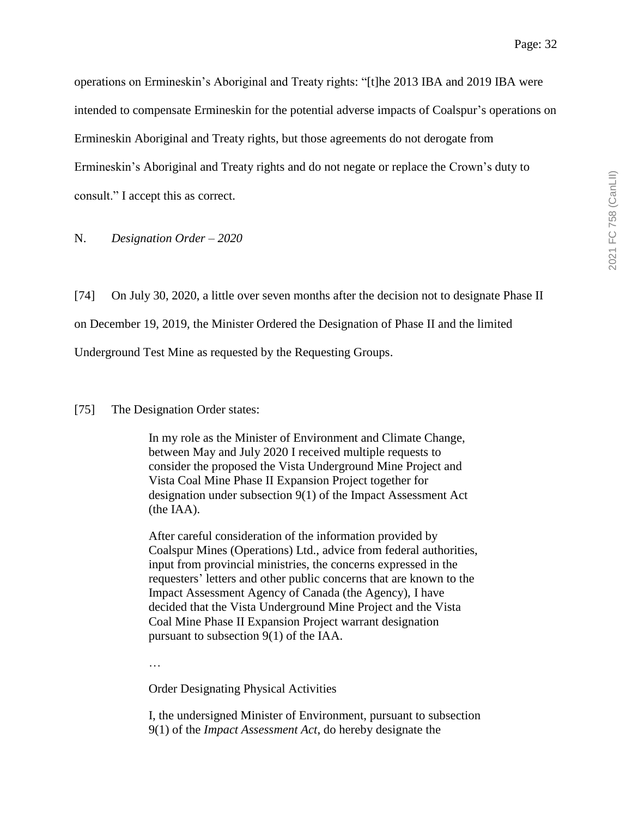operations on Ermineskin's Aboriginal and Treaty rights: "[t]he 2013 IBA and 2019 IBA were intended to compensate Ermineskin for the potential adverse impacts of Coalspur's operations on Ermineskin Aboriginal and Treaty rights, but those agreements do not derogate from Ermineskin's Aboriginal and Treaty rights and do not negate or replace the Crown's duty to consult." I accept this as correct.

N. *Designation Order – 2020*

[74] On July 30, 2020, a little over seven months after the decision not to designate Phase II on December 19, 2019, the Minister Ordered the Designation of Phase II and the limited Underground Test Mine as requested by the Requesting Groups.

[75] The Designation Order states:

In my role as the Minister of Environment and Climate Change, between May and July 2020 I received multiple requests to consider the proposed the Vista Underground Mine Project and Vista Coal Mine Phase II Expansion Project together for designation under subsection 9(1) of the Impact Assessment Act (the IAA).

After careful consideration of the information provided by Coalspur Mines (Operations) Ltd., advice from federal authorities, input from provincial ministries, the concerns expressed in the requesters' letters and other public concerns that are known to the Impact Assessment Agency of Canada (the Agency), I have decided that the Vista Underground Mine Project and the Vista Coal Mine Phase II Expansion Project warrant designation pursuant to subsection 9(1) of the IAA.

…

Order Designating Physical Activities

I, the undersigned Minister of Environment, pursuant to subsection 9(1) of the *Impact Assessment Act*, do hereby designate the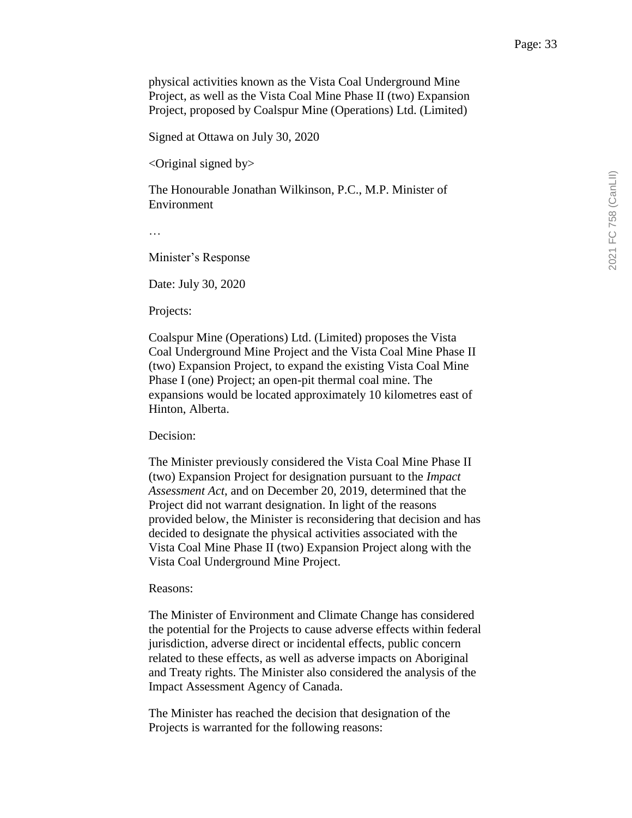physical activities known as the Vista Coal Underground Mine Project, as well as the Vista Coal Mine Phase II (two) Expansion Project, proposed by Coalspur Mine (Operations) Ltd. (Limited)

Signed at Ottawa on July 30, 2020

 $\leq$ Original signed by $>$ 

The Honourable Jonathan Wilkinson, P.C., M.P. Minister of Environment

…

Minister's Response

Date: July 30, 2020

Projects:

Coalspur Mine (Operations) Ltd. (Limited) proposes the Vista Coal Underground Mine Project and the Vista Coal Mine Phase II (two) Expansion Project, to expand the existing Vista Coal Mine Phase I (one) Project; an open-pit thermal coal mine. The expansions would be located approximately 10 kilometres east of Hinton, Alberta.

Decision:

The Minister previously considered the Vista Coal Mine Phase II (two) Expansion Project for designation pursuant to the *Impact Assessment Act*, and on December 20, 2019, determined that the Project did not warrant designation. In light of the reasons provided below, the Minister is reconsidering that decision and has decided to designate the physical activities associated with the Vista Coal Mine Phase II (two) Expansion Project along with the Vista Coal Underground Mine Project.

#### Reasons:

The Minister of Environment and Climate Change has considered the potential for the Projects to cause adverse effects within federal jurisdiction, adverse direct or incidental effects, public concern related to these effects, as well as adverse impacts on Aboriginal and Treaty rights. The Minister also considered the analysis of the Impact Assessment Agency of Canada.

The Minister has reached the decision that designation of the Projects is warranted for the following reasons: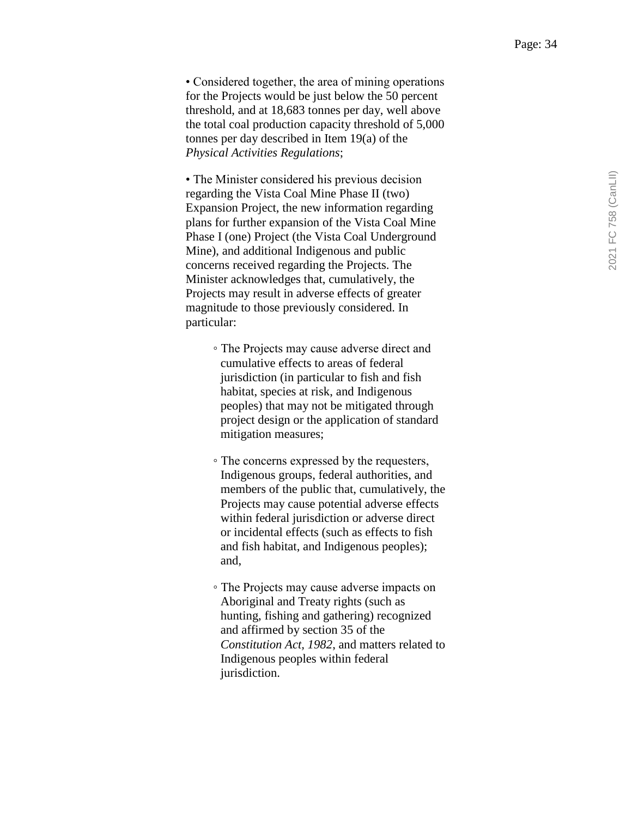• Considered together, the area of mining operations for the Projects would be just below the 50 percent threshold, and at 18,683 tonnes per day, well above the total coal production capacity threshold of 5,000 tonnes per day described in Item 19(a) of the *Physical Activities Regulations* ;

• The Minister considered his previous decision regarding the Vista Coal Mine Phase II (two) Expansion Project, the new information regarding plans for further expansion of the Vista Coal Mine Phase I (one) Project (the Vista Coal Underground Mine), and additional Indigenous and public concerns received regarding the Projects. The Minister acknowledges that, cumulatively, the Projects may result in adverse effects of greater magnitude to those previously considered. In particular:

- The Projects may cause adverse direct and cumulative effects to areas of federal jurisdiction (in particular to fish and fish habitat, species at risk, and Indigenous peoples) that may not be mitigated through project design or the application of standard mitigation measures;
- The concerns expressed by the requesters, Indigenous groups, federal authorities, and members of the public that, cumulatively, the Projects may cause potential adverse effects within federal jurisdiction or adverse direct or incidental effects (such as effects to fish and fish habitat, and Indigenous peoples); and,
- The Projects may cause adverse impacts on Aboriginal and Treaty rights (such as hunting, fishing and gathering) recognized and affirmed by section 35 of the *Constitution Act, 1982*, and matters related to Indigenous peoples within federal jurisdiction.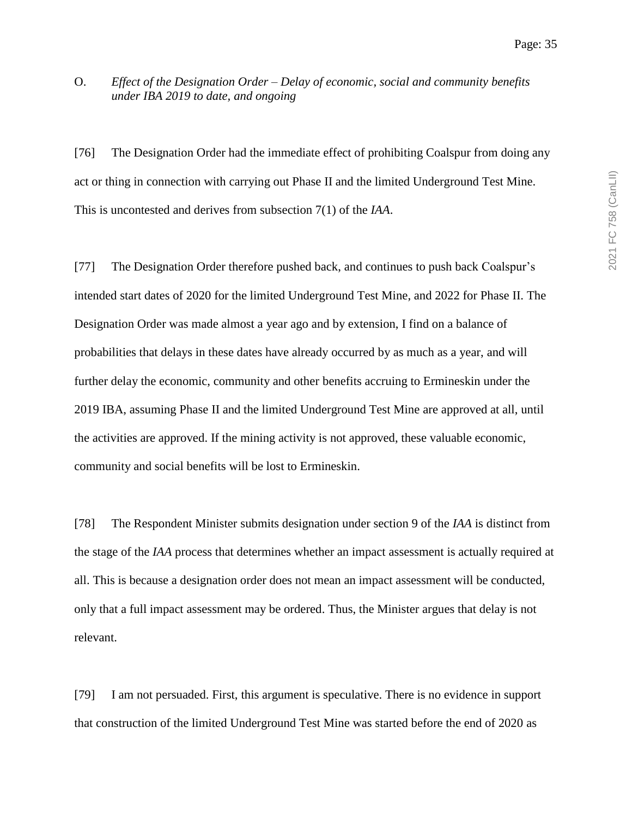#### O. *Effect of the Designation Order – Delay of economic, social and community benefits under IBA 2019 to date, and ongoing*

[76] The Designation Order had the immediate effect of prohibiting Coalspur from doing any act or thing in connection with carrying out Phase II and the limited Underground Test Mine. This is uncontested and derives from subsection 7(1) of the *IAA*.

[77] The Designation Order therefore pushed back, and continues to push back Coalspur's intended start dates of 2020 for the limited Underground Test Mine, and 2022 for Phase II. The Designation Order was made almost a year ago and by extension, I find on a balance of probabilities that delays in these dates have already occurred by as much as a year, and will further delay the economic, community and other benefits accruing to Ermineskin under the 2019 IBA, assuming Phase II and the limited Underground Test Mine are approved at all, until the activities are approved. If the mining activity is not approved, these valuable economic, community and social benefits will be lost to Ermineskin.

[78] The Respondent Minister submits designation under section 9 of the *IAA* is distinct from the stage of the *IAA* process that determines whether an impact assessment is actually required at all. This is because a designation order does not mean an impact assessment will be conducted, only that a full impact assessment may be ordered. Thus, the Minister argues that delay is not relevant.

[79] I am not persuaded. First, this argument is speculative. There is no evidence in support that construction of the limited Underground Test Mine was started before the end of 2020 as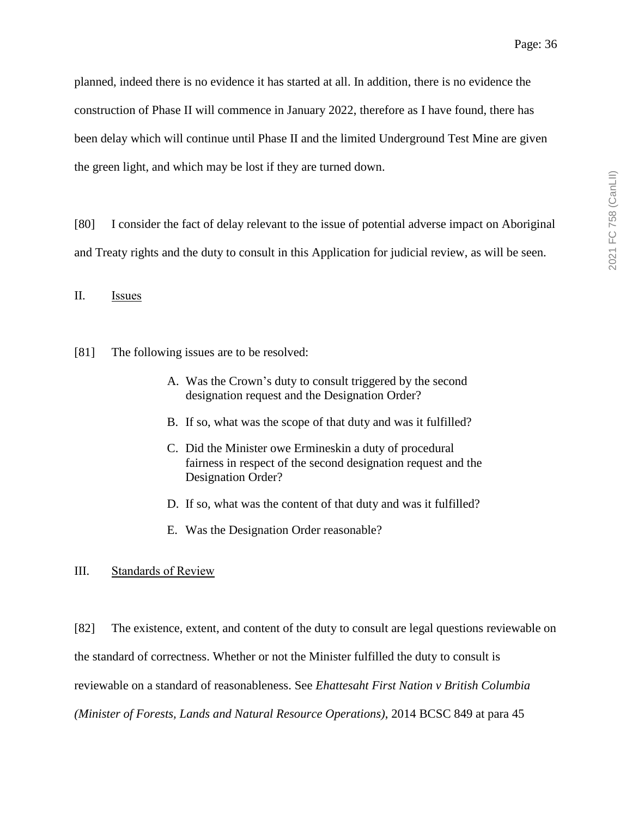planned, indeed there is no evidence it has started at all. In addition, there is no evidence the construction of Phase II will commence in January 2022, therefore as I have found, there has been delay which will continue until Phase II and the limited Underground Test Mine are given the green light, and which may be lost if they are turned down.

[80] I consider the fact of delay relevant to the issue of potential adverse impact on Aboriginal and Treaty rights and the duty to consult in this Application for judicial review, as will be seen.

II. Issues

[81] The following issues are to be resolved:

- A. Was the Crown's duty to consult triggered by the second designation request and the Designation Order?
- B. If so, what was the scope of that duty and was it fulfilled?
- C. Did the Minister owe Ermineskin a duty of procedural fairness in respect of the second designation request and the Designation Order?
- D. If so, what was the content of that duty and was it fulfilled?
- E. Was the Designation Order reasonable?

III. Standards of Review

[82] The existence, extent, and content of the duty to consult are legal questions reviewable on the standard of correctness. Whether or not the Minister fulfilled the duty to consult is reviewable on a standard of reasonableness. See *Ehattesaht First Nation v British Columbia (Minister of Forests, Lands and Natural Resource Operations)*, 2014 BCSC 849 at para 45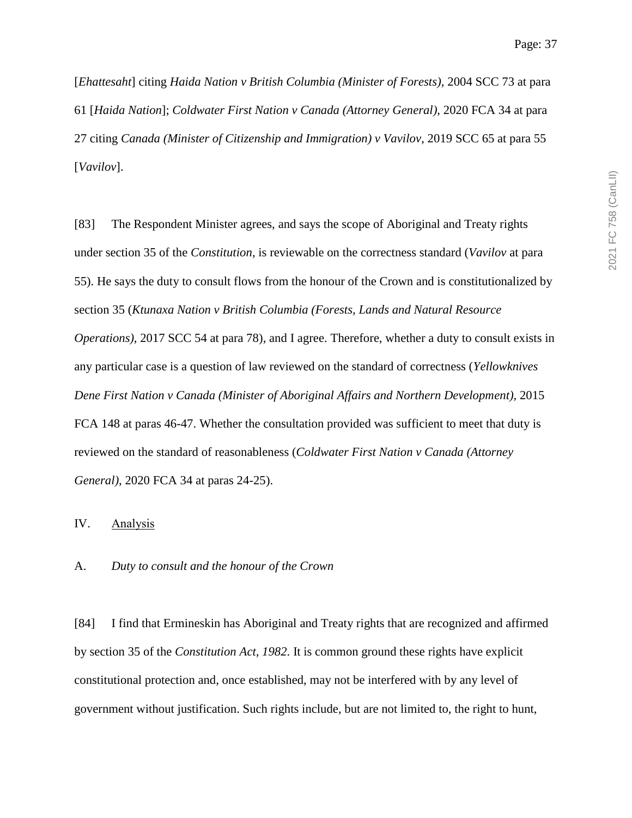[*Ehattesaht*] citing *Haida Nation v British Columbia (Minister of Forests)*, 2004 SCC 73 at para 61 [*Haida Nation*]; *Coldwater First Nation v Canada (Attorney General)*, 2020 FCA 34 at para 27 citing *Canada (Minister of Citizenship and Immigration) v Vavilov*, 2019 SCC 65 at para 55 [*Vavilov*].

[83] The Respondent Minister agrees, and says the scope of Aboriginal and Treaty rights under section 35 of the *Constitution*, is reviewable on the correctness standard (*Vavilov* at para 55). He says the duty to consult flows from the honour of the Crown and is constitutionalized by section 35 (*Ktunaxa Nation v British Columbia (Forests, Lands and Natural Resource Operations*), 2017 SCC 54 at para 78), and I agree. Therefore, whether a duty to consult exists in any particular case is a question of law reviewed on the standard of correctness (*Yellowknives Dene First Nation v Canada (Minister of Aboriginal Affairs and Northern Development)*, 2015 FCA 148 at paras 46-47. Whether the consultation provided was sufficient to meet that duty is reviewed on the standard of reasonableness (*Coldwater First Nation v Canada (Attorney General)*, 2020 FCA 34 at paras 24-25).

#### IV. Analysis

A. *Duty to consult and the honour of the Crown*

[84] I find that Ermineskin has Aboriginal and Treaty rights that are recognized and affirmed by section 35 of the *Constitution Act, 1982*. It is common ground these rights have explicit constitutional protection and, once established, may not be interfered with by any level of government without justification. Such rights include, but are not limited to, the right to hunt,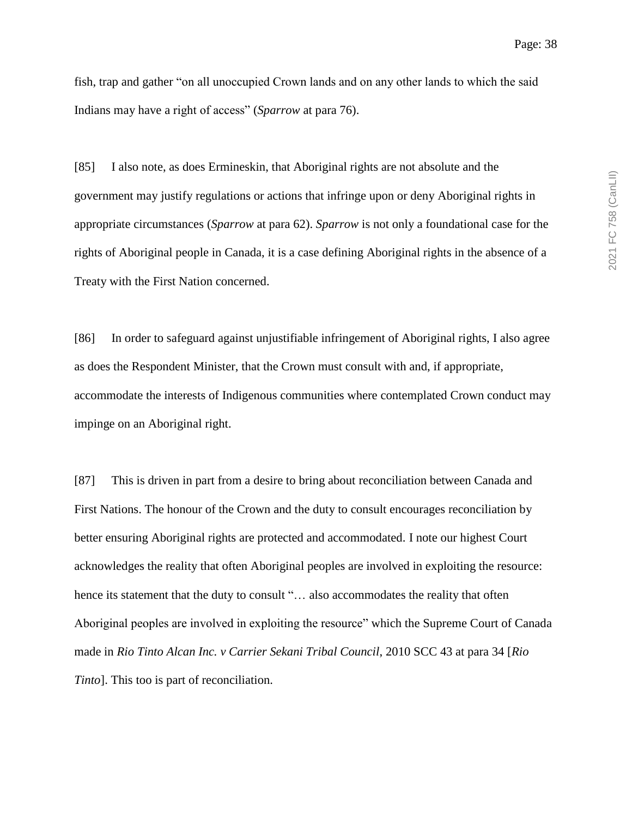fish, trap and gather "on all unoccupied Crown lands and on any other lands to which the said Indians may have a right of access" (*Sparrow* at para 76).

[85] I also note, as does Ermineskin, that Aboriginal rights are not absolute and the government may justify regulations or actions that infringe upon or deny Aboriginal rights in appropriate circumstances (*Sparrow* at para 62). *Sparrow* is not only a foundational case for the rights of Aboriginal people in Canada, it is a case defining Aboriginal rights in the absence of a Treaty with the First Nation concerned.

[86] In order to safeguard against unjustifiable infringement of Aboriginal rights, I also agree as does the Respondent Minister, that the Crown must consult with and, if appropriate, accommodate the interests of Indigenous communities where contemplated Crown conduct may impinge on an Aboriginal right.

[87] This is driven in part from a desire to bring about reconciliation between Canada and First Nations. The honour of the Crown and the duty to consult encourages reconciliation by better ensuring Aboriginal rights are protected and accommodated. I note our highest Court acknowledges the reality that often Aboriginal peoples are involved in exploiting the resource: hence its statement that the duty to consult "... also accommodates the reality that often Aboriginal peoples are involved in exploiting the resource" which the Supreme Court of Canada made in *Rio Tinto Alcan Inc. v Carrier Sekani Tribal Council*, 2010 SCC 43 at para 34 [*Rio Tinto*]. This too is part of reconciliation.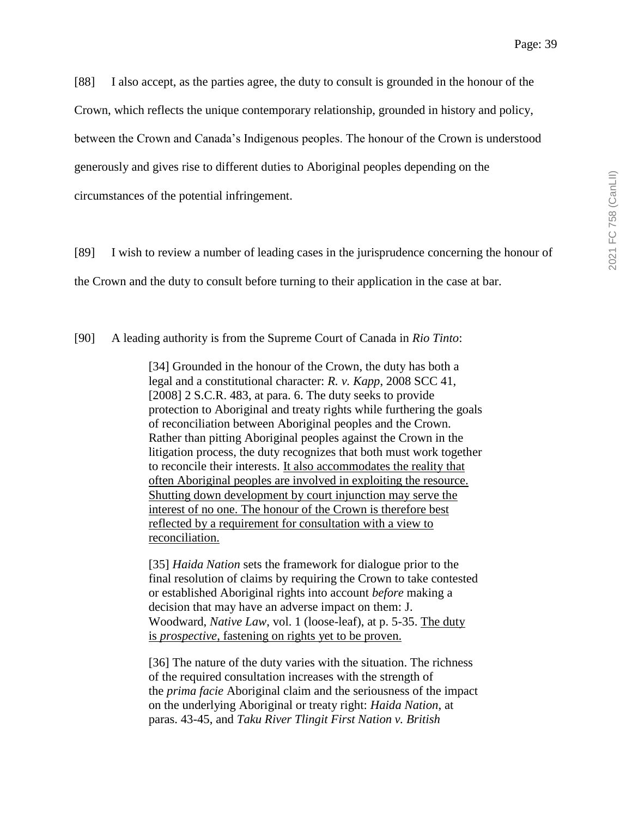[88] I also accept, as the parties agree, the duty to consult is grounded in the honour of the

Crown, which reflects the unique contemporary relationship, grounded in history and policy,

between the Crown and Canada's Indigenous peoples. The honour of the Crown is understood

generously and gives rise to different duties to Aboriginal peoples depending on the

circumstances of the potential infringement.

[89] I wish to review a number of leading cases in the jurisprudence concerning the honour of

the Crown and the duty to consult before turning to their application in the case at bar.

[90] A leading authority is from the Supreme Court of Canada in *Rio Tinto*:

[34] Grounded in the honour of the Crown, the duty has both a legal and a constitutional character: *R. v. Kapp*, 2008 SCC 41, [2008] 2 S.C.R. 483, at para. 6. The duty seeks to provide protection to Aboriginal and treaty rights while furthering the goals of reconciliation between Aboriginal peoples and the Crown. Rather than pitting Aboriginal peoples against the Crown in the litigation process, the duty recognizes that both must work together to reconcile their interests. It also accommodates the reality that often Aboriginal peoples are involved in exploiting the resource. Shutting down development by court injunction may serve the interest of no one. The honour of the Crown is therefore best reflected by a requirement for consultation with a view to reconciliation.

[35] *Haida Nation* sets the framework for dialogue prior to the final resolution of claims by requiring the Crown to take contested or established Aboriginal rights into account *before* making a decision that may have an adverse impact on them: J. Woodward, *Native Law*, vol. 1 (loose-leaf), at p. 5-35. The duty is *prospective*, fastening on rights yet to be proven.

[36] The nature of the duty varies with the situation. The richness of the required consultation increases with the strength of the *prima facie* Aboriginal claim and the seriousness of the impact on the underlying Aboriginal or treaty right: *Haida Nation*, at paras. 43-45, and *Taku River Tlingit First Nation v. British*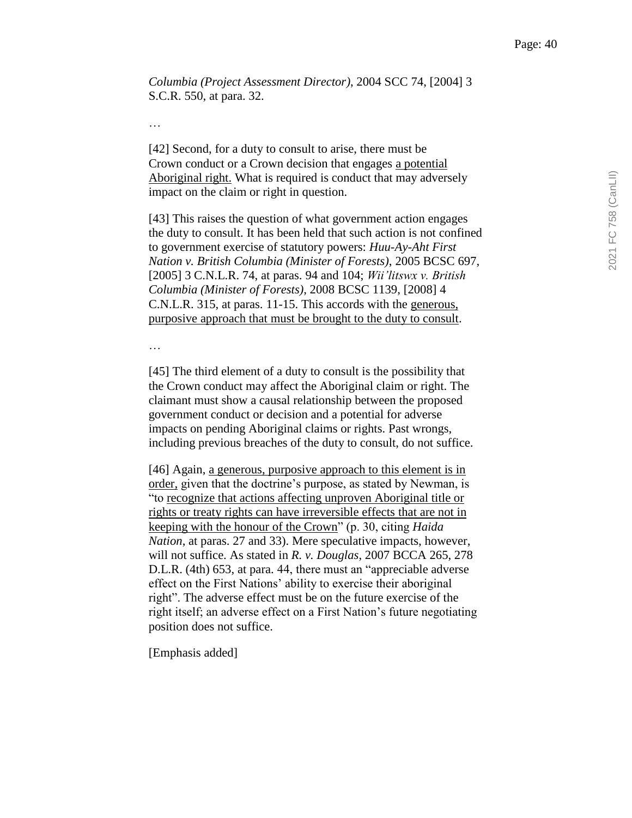*Columbia (Project Assessment Director)*, 2004 SCC 74, [2004] 3 S.C.R. 550, at para. 32.

…

[42] Second, for a duty to consult to arise, there must be Crown conduct or a Crown decision that engages a potential Aboriginal right. What is required is conduct that may adversely impact on the claim or right in question.

[43] This raises the question of what government action engages the duty to consult. It has been held that such action is not confined to government exercise of statutory powers: *Huu-Ay-Aht First Nation v. British Columbia (Minister of Forests)*, 2005 BCSC 697, [2005] 3 C.N.L.R. 74, at paras. 94 and 104; *Wii'litswx v. British Columbia (Minister of Forests)*, 2008 BCSC 1139, [2008] 4 C.N.L.R. 315, at paras. 11-15. This accords with the generous, purposive approach that must be brought to the duty to consult.

…

[45] The third element of a duty to consult is the possibility that the Crown conduct may affect the Aboriginal claim or right. The claimant must show a causal relationship between the proposed government conduct or decision and a potential for adverse impacts on pending Aboriginal claims or rights. Past wrongs, including previous breaches of the duty to consult, do not suffice.

[46] Again, a generous, purposive approach to this element is in order, given that the doctrine's purpose, as stated by Newman, is "to recognize that actions affecting unproven Aboriginal title or rights or treaty rights can have irreversible effects that are not in keeping with the honour of the Crown" (p. 30, citing *Haida Nation*, at paras. 27 and 33). Mere speculative impacts, however, will not suffice. As stated in *R. v. Douglas*, 2007 BCCA 265, 278 D.L.R. (4th) 653, at para. 44, there must an "appreciable adverse effect on the First Nations' ability to exercise their aboriginal right". The adverse effect must be on the future exercise of the right itself; an adverse effect on a First Nation's future negotiating position does not suffice.

[Emphasis added]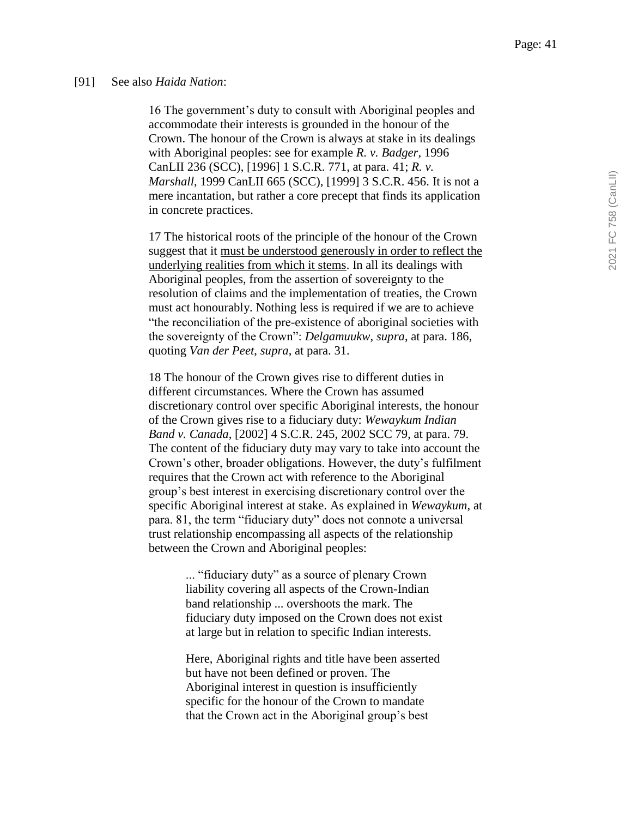#### [91] See also *Haida Nation*:

16 The government's duty to consult with Aboriginal peoples and accommodate their interests is grounded in the honour of the Crown. The honour of the Crown is always at stake in its dealings with Aboriginal peoples: see for example *R. v. Badger*, 1996 CanLII 236 (SCC), [1996] 1 S.C.R. 771, at para. 41; *R. v. Marshall*, 1999 CanLII 665 (SCC), [1999] 3 S.C.R. 456. It is not a mere incantation, but rather a core precept that finds its application in concrete practices.

17 The historical roots of the principle of the honour of the Crown suggest that it must be understood generously in order to reflect the underlying realities from which it stems. In all its dealings with Aboriginal peoples, from the assertion of sovereignty to the resolution of claims and the implementation of treaties, the Crown must act honourably. Nothing less is required if we are to achieve "the reconciliation of the pre-existence of aboriginal societies with the sovereignty of the Crown": *Delgamuukw*, *supra*, at para. 186, quoting *Van der Peet*, *supra*, at para. 31.

18 The honour of the Crown gives rise to different duties in different circumstances. Where the Crown has assumed discretionary control over specific Aboriginal interests, the honour of the Crown gives rise to a fiduciary duty: *Wewaykum Indian Band v. Canada*, [2002] 4 S.C.R. 245, 2002 SCC 79, at para. 79. The content of the fiduciary duty may vary to take into account the Crown's other, broader obligations. However, the duty's fulfilment requires that the Crown act with reference to the Aboriginal group's best interest in exercising discretionary control over the specific Aboriginal interest at stake. As explained in *Wewaykum*, at para. 81, the term "fiduciary duty" does not connote a universal trust relationship encompassing all aspects of the relationship between the Crown and Aboriginal peoples:

> ... "fiduciary duty" as a source of plenary Crown liability covering all aspects of the Crown-Indian band relationship ... overshoots the mark. The fiduciary duty imposed on the Crown does not exist at large but in relation to specific Indian interests.

> Here, Aboriginal rights and title have been asserted but have not been defined or proven. The Aboriginal interest in question is insufficiently specific for the honour of the Crown to mandate that the Crown act in the Aboriginal group's best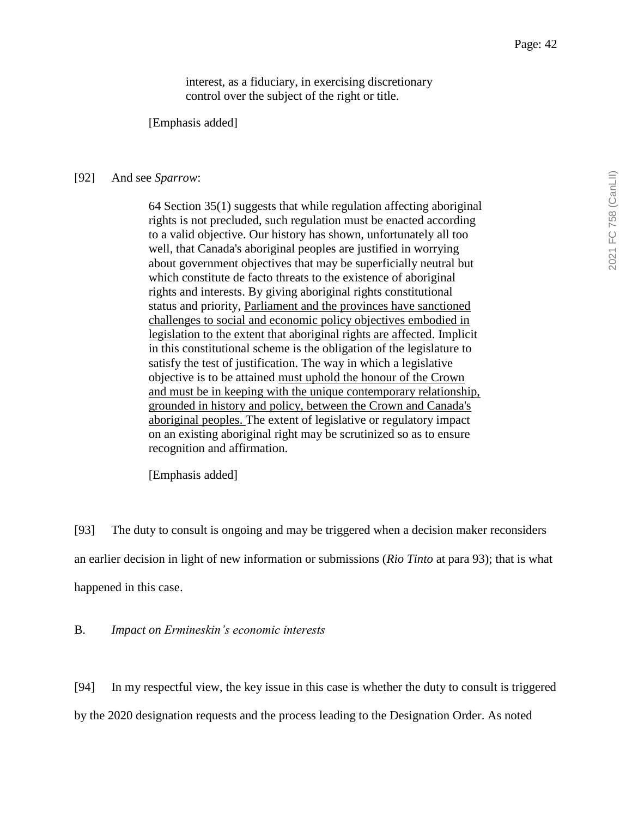interest, as a fiduciary, in exercising discretionary control over the subject of the right or title.

[Emphasis added]

#### [92] And see *Sparrow*:

64 Section 35(1) suggests that while regulation affecting aboriginal rights is not precluded, such regulation must be enacted according to a valid objective. Our history has shown, unfortunately all too well, that Canada's aboriginal peoples are justified in worrying about government objectives that may be superficially neutral but which constitute de facto threats to the existence of aboriginal rights and interests. By giving aboriginal rights constitutional status and priority, Parliament and the provinces have sanctioned challenges to social and economic policy objectives embodied in legislation to the extent that aboriginal rights are affected. Implicit in this constitutional scheme is the obligation of the legislature to satisfy the test of justification. The way in which a legislative objective is to be attained must uphold the honour of the Crown and must be in keeping with the unique contemporary relationship, grounded in history and policy, between the Crown and Canada's aboriginal peoples. The extent of legislative or regulatory impact on an existing aboriginal right may be scrutinized so as to ensure recognition and affirmation.

[Emphasis added]

[93] The duty to consult is ongoing and may be triggered when a decision maker reconsiders an earlier decision in light of new information or submissions (*Rio Tinto* at para 93); that is what happened in this case.

B. *Impact on Ermineskin's economic interests*

[94] In my respectful view, the key issue in this case is whether the duty to consult is triggered

by the 2020 designation requests and the process leading to the Designation Order. As noted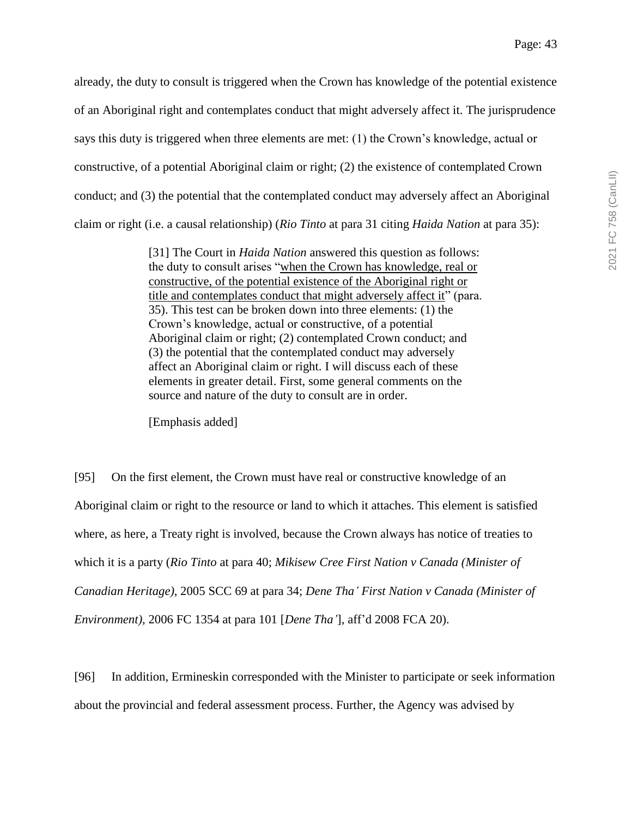already, the duty to consult is triggered when the Crown has knowledge of the potential existence of an Aboriginal right and contemplates conduct that might adversely affect it. The jurisprudence says this duty is triggered when three elements are met: (1) the Crown's knowledge, actual or constructive, of a potential Aboriginal claim or right; (2) the existence of contemplated Crown conduct; and (3) the potential that the contemplated conduct may adversely affect an Aboriginal claim or right (i.e. a causal relationship) (*Rio Tinto* at para 31 citing *Haida Nation* at para 35):

> [31] The Court in *Haida Nation* answered this question as follows: the duty to consult arises "when the Crown has knowledge, real or constructive, of the potential existence of the Aboriginal right or title and contemplates conduct that might adversely affect it" (para. 35). This test can be broken down into three elements: (1) the Crown's knowledge, actual or constructive, of a potential Aboriginal claim or right; (2) contemplated Crown conduct; and (3) the potential that the contemplated conduct may adversely affect an Aboriginal claim or right. I will discuss each of these elements in greater detail. First, some general comments on the source and nature of the duty to consult are in order.

[Emphasis added]

[95] On the first element, the Crown must have real or constructive knowledge of an Aboriginal claim or right to the resource or land to which it attaches. This element is satisfied where, as here, a Treaty right is involved, because the Crown always has notice of treaties to which it is a party (*Rio Tinto* at para 40; *Mikisew Cree First Nation v Canada (Minister of Canadian Heritage)*, 2005 SCC 69 at para 34; *Dene Tha' First Nation v Canada (Minister of Environment)*, 2006 FC 1354 at para 101 [*Dene Tha'*], aff'd 2008 FCA 20).

[96] In addition, Ermineskin corresponded with the Minister to participate or seek information about the provincial and federal assessment process. Further, the Agency was advised by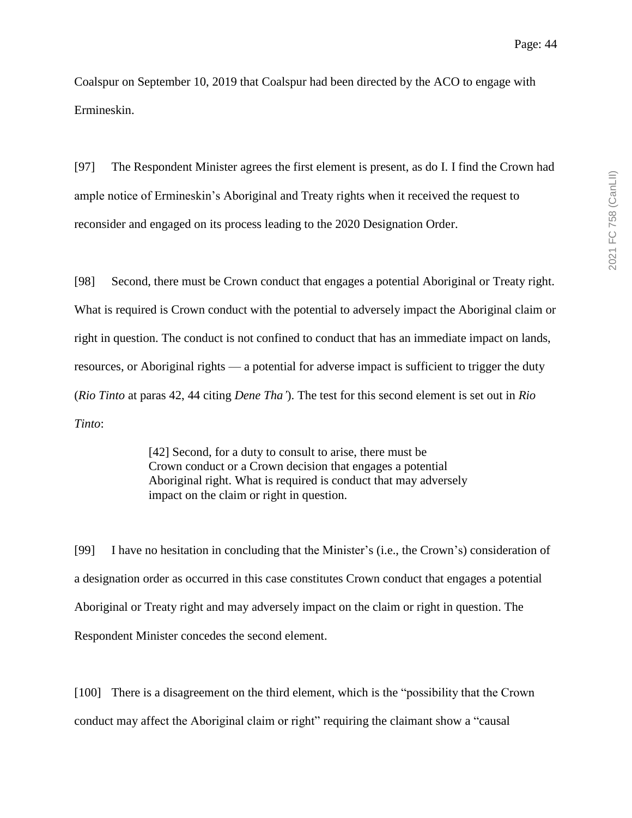Coalspur on September 10, 2019 that Coalspur had been directed by the ACO to engage with Ermineskin.

[97] The Respondent Minister agrees the first element is present, as do I. I find the Crown had ample notice of Ermineskin's Aboriginal and Treaty rights when it received the request to reconsider and engaged on its process leading to the 2020 Designation Order.

[98] Second, there must be Crown conduct that engages a potential Aboriginal or Treaty right. What is required is Crown conduct with the potential to adversely impact the Aboriginal claim or right in question. The conduct is not confined to conduct that has an immediate impact on lands, resources, or Aboriginal rights — a potential for adverse impact is sufficient to trigger the duty (*Rio Tinto* at paras 42, 44 citing *Dene Tha'*). The test for this second element is set out in *Rio Tinto*:

> [42] Second, for a duty to consult to arise, there must be Crown conduct or a Crown decision that engages a potential Aboriginal right. What is required is conduct that may adversely impact on the claim or right in question.

[99] I have no hesitation in concluding that the Minister's (i.e., the Crown's) consideration of a designation order as occurred in this case constitutes Crown conduct that engages a potential Aboriginal or Treaty right and may adversely impact on the claim or right in question. The Respondent Minister concedes the second element.

[100] There is a disagreement on the third element, which is the "possibility that the Crown" conduct may affect the Aboriginal claim or right" requiring the claimant show a "causal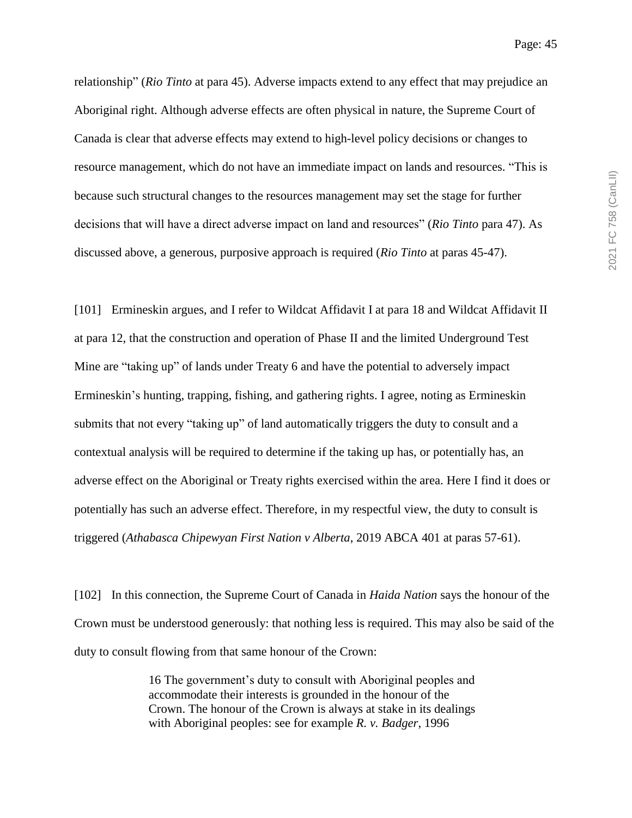relationship" (*Rio Tinto* at para 45). Adverse impacts extend to any effect that may prejudice an Aboriginal right. Although adverse effects are often physical in nature, the Supreme Court of Canada is clear that adverse effects may extend to high-level policy decisions or changes to resource management, which do not have an immediate impact on lands and resources. "This is because such structural changes to the resources management may set the stage for further decisions that will have a direct adverse impact on land and resources" (*Rio Tinto* para 47). As discussed above, a generous, purposive approach is required (*Rio Tinto* at paras 45-47).

[101] Ermineskin argues, and I refer to Wildcat Affidavit I at para 18 and Wildcat Affidavit II at para 12, that the construction and operation of Phase II and the limited Underground Test Mine are "taking up" of lands under Treaty 6 and have the potential to adversely impact Ermineskin's hunting, trapping, fishing, and gathering rights. I agree, noting as Ermineskin submits that not every "taking up" of land automatically triggers the duty to consult and a contextual analysis will be required to determine if the taking up has, or potentially has, an adverse effect on the Aboriginal or Treaty rights exercised within the area. Here I find it does or potentially has such an adverse effect. Therefore, in my respectful view, the duty to consult is triggered (*Athabasca Chipewyan First Nation v Alberta*, 2019 ABCA 401 at paras 57-61).

[102] In this connection, the Supreme Court of Canada in *Haida Nation* says the honour of the Crown must be understood generously: that nothing less is required. This may also be said of the duty to consult flowing from that same honour of the Crown:

> 16 The government's duty to consult with Aboriginal peoples and accommodate their interests is grounded in the honour of the Crown. The honour of the Crown is always at stake in its dealings with Aboriginal peoples: see for example *R. v. Badger*, 1996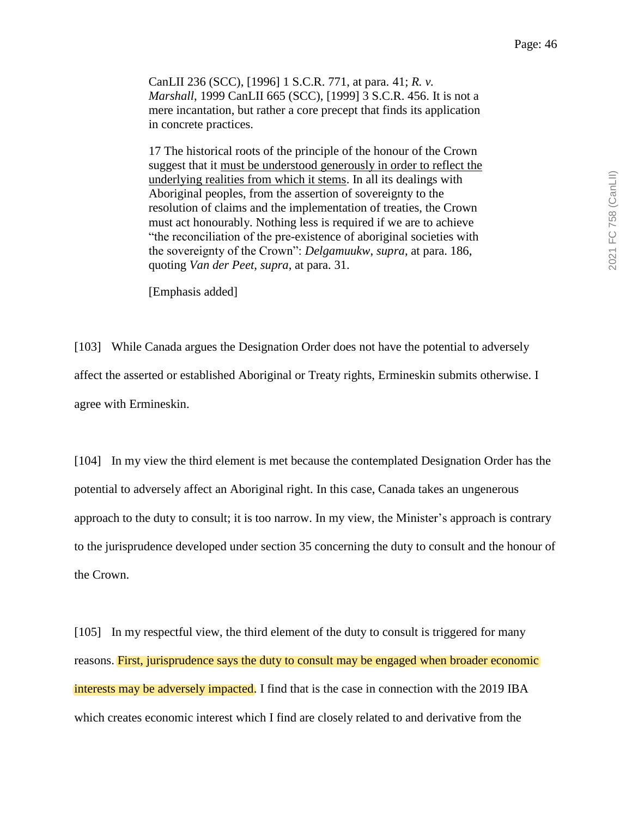CanLII 236 (SCC), [1996] 1 S.C.R. 771, at para. 41; *R. v. Marshall*, 1999 CanLII 665 (SCC), [1999] 3 S.C.R. 456. It is not a mere incantation, but rather a core precept that finds its application in concrete practices.

17 The historical roots of the principle of the honour of the Crown suggest that it must be understood generously in order to reflect the underlying realities from which it stems. In all its dealings with Aboriginal peoples, from the assertion of sovereignty to the resolution of claims and the implementation of treaties, the Crown must act honourably. Nothing less is required if we are to achieve "the reconciliation of the pre-existence of aboriginal societies with the sovereignty of the Crown": *Delgamuukw*, *supra*, at para. 186, quoting *Van der Peet*, *supra*, at para. 31.

[Emphasis added]

[103] While Canada argues the Designation Order does not have the potential to adversely affect the asserted or established Aboriginal or Treaty rights, Ermineskin submits otherwise. I agree with Ermineskin.

[104] In my view the third element is met because the contemplated Designation Order has the potential to adversely affect an Aboriginal right. In this case, Canada takes an ungenerous approach to the duty to consult; it is too narrow. In my view, the Minister's approach is contrary to the jurisprudence developed under section 35 concerning the duty to consult and the honour of the Crown.

[105] In my respectful view, the third element of the duty to consult is triggered for many reasons. First, jurisprudence says the duty to consult may be engaged when broader economic interests may be adversely impacted. I find that is the case in connection with the 2019 IBA which creates economic interest which I find are closely related to and derivative from the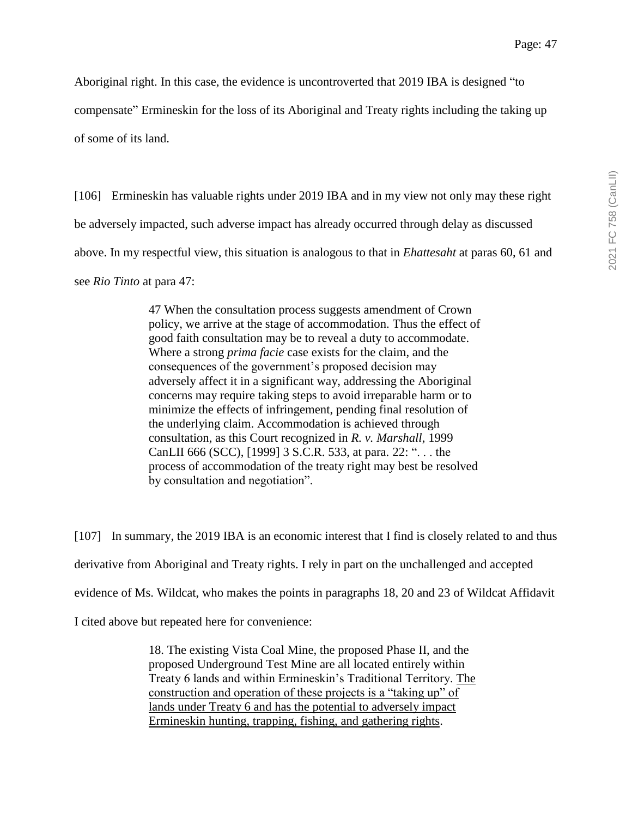Aboriginal right. In this case, the evidence is uncontroverted that 2019 IBA is designed "to

compensate" Ermineskin for the loss of its Aboriginal and Treaty rights including the taking up

of some of its land.

[106] Ermineskin has valuable rights under 2019 IBA and in my view not only may these right be adversely impacted, such adverse impact has already occurred through delay as discussed above. In my respectful view, this situation is analogous to that in *Ehattesaht* at paras 60, 61 and see *Rio Tinto* at para 47:

> 47 When the consultation process suggests amendment of Crown policy, we arrive at the stage of accommodation. Thus the effect of good faith consultation may be to reveal a duty to accommodate. Where a strong *prima facie* case exists for the claim, and the consequences of the government's proposed decision may adversely affect it in a significant way, addressing the Aboriginal concerns may require taking steps to avoid irreparable harm or to minimize the effects of infringement, pending final resolution of the underlying claim. Accommodation is achieved through consultation, as this Court recognized in *R. v. Marshall*, 1999 CanLII 666 (SCC), [1999] 3 S.C.R. 533, at para. 22: ". . . the process of accommodation of the treaty right may best be resolved by consultation and negotiation".

[107] In summary, the 2019 IBA is an economic interest that I find is closely related to and thus derivative from Aboriginal and Treaty rights. I rely in part on the unchallenged and accepted evidence of Ms. Wildcat, who makes the points in paragraphs 18, 20 and 23 of Wildcat Affidavit I cited above but repeated here for convenience:

> 18. The existing Vista Coal Mine, the proposed Phase II, and the proposed Underground Test Mine are all located entirely within Treaty 6 lands and within Ermineskin's Traditional Territory. The construction and operation of these projects is a "taking up" of lands under Treaty 6 and has the potential to adversely impact Ermineskin hunting, trapping, fishing, and gathering rights.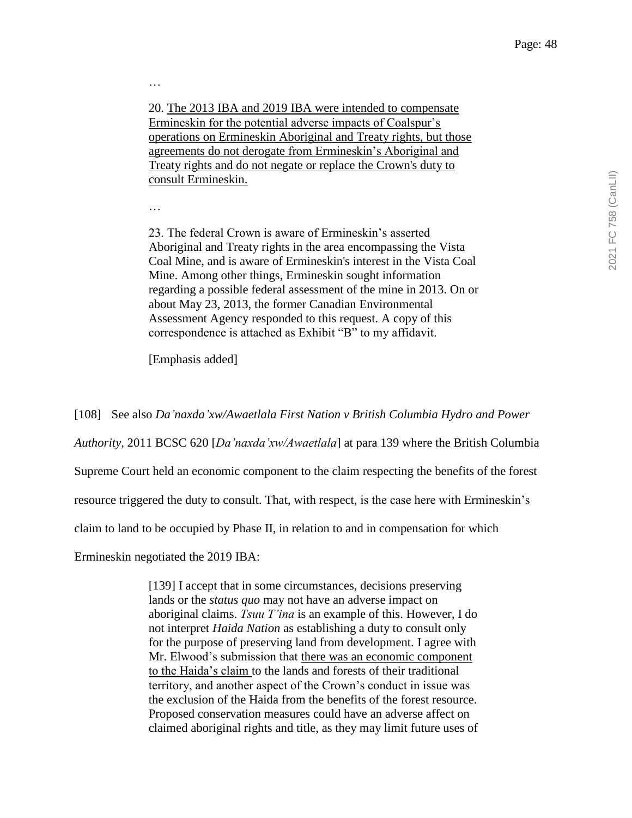20. The 2013 IBA and 2019 IBA were intended to compensate Ermineskin for the potential adverse impacts of Coalspur's operations on Ermineskin Aboriginal and Treaty rights, but those agreements do not derogate from Ermineskin's Aboriginal and Treaty rights and do not negate or replace the Crown's duty to consult Ermineskin.

…

…

23. The federal Crown is aware of Ermineskin's asserted Aboriginal and Treaty rights in the area encompassing the Vista Coal Mine, and is aware of Ermineskin's interest in the Vista Coal Mine. Among other things, Ermineskin sought information regarding a possible federal assessment of the mine in 2013. On or about May 23, 2013, the former Canadian Environmental Assessment Agency responded to this request. A copy of this correspondence is attached as Exhibit "B" to my affidavit.

[Emphasis added]

[108] See also *Da'naxda'xw/Awaetlala First Nation v British Columbia Hydro and Power* 

*Authority*, 2011 BCSC 620 [*Da'naxda'xw/Awaetlala*] at para 139 where the British Columbia

Supreme Court held an economic component to the claim respecting the benefits of the forest

resource triggered the duty to consult. That, with respect, is the case here with Ermineskin's

claim to land to be occupied by Phase II, in relation to and in compensation for which

Ermineskin negotiated the 2019 IBA:

[139] I accept that in some circumstances, decisions preserving lands or the *status quo* may not have an adverse impact on aboriginal claims. *Tsuu T'ina* is an example of this. However, I do not interpret *Haida Nation* as establishing a duty to consult only for the purpose of preserving land from development. I agree with Mr. Elwood's submission that there was an economic component to the Haida's claim to the lands and forests of their traditional territory, and another aspect of the Crown's conduct in issue was the exclusion of the Haida from the benefits of the forest resource. Proposed conservation measures could have an adverse affect on claimed aboriginal rights and title, as they may limit future uses of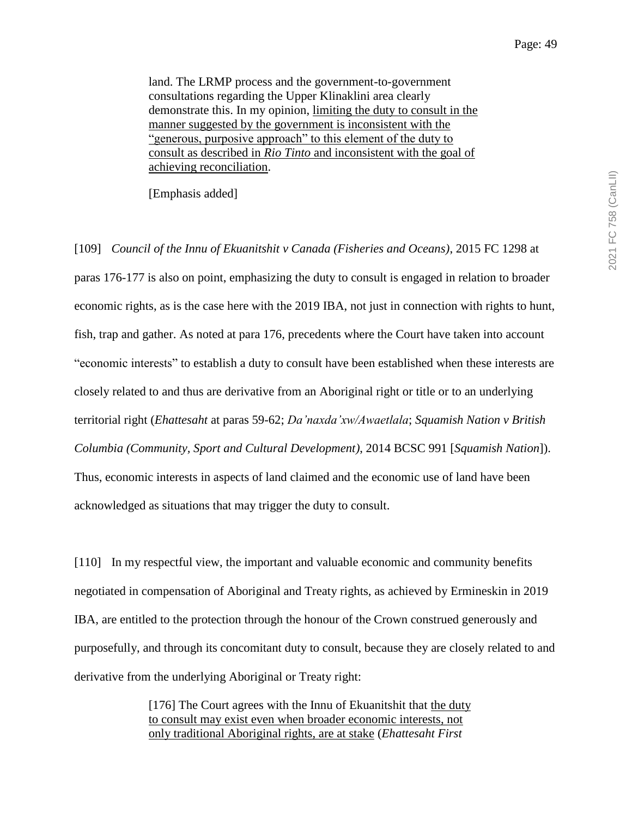land. The LRMP process and the government-to-government consultations regarding the Upper Klinaklini area clearly demonstrate this. In my opinion, limiting the duty to consult in the manner suggested by the government is inconsistent with the "generous, purposive approach" to this element of the duty to consult as described in *Rio Tinto* and inconsistent with the goal of achieving reconciliation.

[Emphasis added]

[109] *Council of the Innu of Ekuanitshit v Canada (Fisheries and Oceans)*, 2015 FC 1298 at paras 176-177 is also on point, emphasizing the duty to consult is engaged in relation to broader economic rights, as is the case here with the 2019 IBA, not just in connection with rights to hunt, fish, trap and gather. As noted at para 176, precedents where the Court have taken into account "economic interests" to establish a duty to consult have been established when these interests are closely related to and thus are derivative from an Aboriginal right or title or to an underlying territorial right (*Ehattesaht* at paras 59-62; *Da'naxda'xw/Awaetlala*; *Squamish Nation v British Columbia (Community, Sport and Cultural Development)*, 2014 BCSC 991 [*Squamish Nation*]). Thus, economic interests in aspects of land claimed and the economic use of land have been acknowledged as situations that may trigger the duty to consult.

[110] In my respectful view, the important and valuable economic and community benefits negotiated in compensation of Aboriginal and Treaty rights, as achieved by Ermineskin in 2019 IBA, are entitled to the protection through the honour of the Crown construed generously and purposefully, and through its concomitant duty to consult, because they are closely related to and derivative from the underlying Aboriginal or Treaty right:

> [176] The Court agrees with the Innu of Ekuanitshit that the duty to consult may exist even when broader economic interests, not only traditional Aboriginal rights, are at stake (*Ehattesaht First*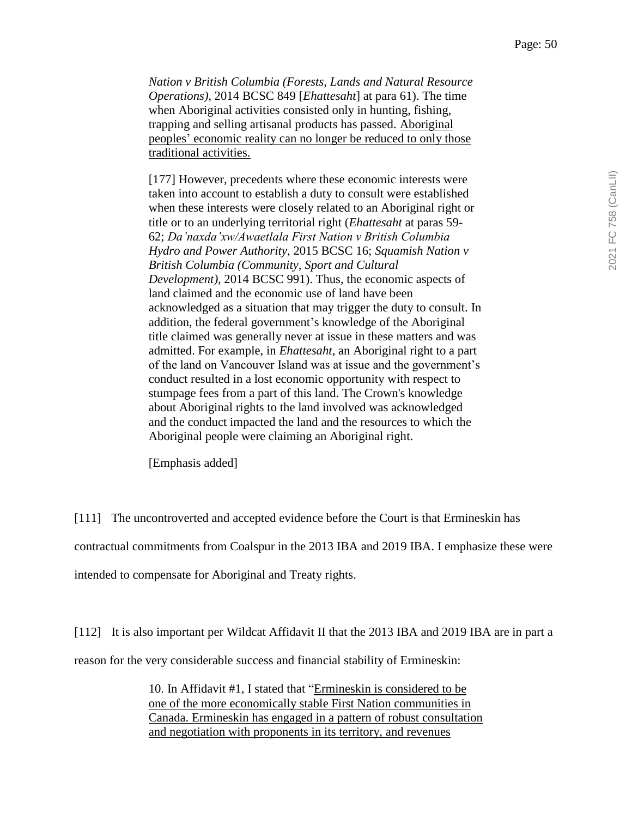*Nation v British Columbia (Forests, Lands and Natural Resource Operations)*, 2014 BCSC 849 [*Ehattesaht*] at para 61). The time when Aboriginal activities consisted only in hunting, fishing, trapping and selling artisanal products has passed. Aboriginal peoples' economic reality can no longer be reduced to only those traditional activities.

[177] However, precedents where these economic interests were taken into account to establish a duty to consult were established when these interests were closely related to an Aboriginal right or title or to an underlying territorial right (*Ehattesaht* at paras 59- 62; *Da'naxda'xw/Awaetlala First Nation v British Columbia Hydro and Power Authority*, 2015 BCSC 16; *Squamish Nation v British Columbia (Community, Sport and Cultural Development)*, 2014 BCSC 991). Thus, the economic aspects of land claimed and the economic use of land have been acknowledged as a situation that may trigger the duty to consult. In addition, the federal government's knowledge of the Aboriginal title claimed was generally never at issue in these matters and was admitted. For example, in *Ehattesaht*, an Aboriginal right to a part of the land on Vancouver Island was at issue and the government's conduct resulted in a lost economic opportunity with respect to stumpage fees from a part of this land. The Crown's knowledge about Aboriginal rights to the land involved was acknowledged and the conduct impacted the land and the resources to which the Aboriginal people were claiming an Aboriginal right.

[Emphasis added]

[111] The uncontroverted and accepted evidence before the Court is that Ermineskin has contractual commitments from Coalspur in the 2013 IBA and 2019 IBA. I emphasize these were intended to compensate for Aboriginal and Treaty rights.

[112] It is also important per Wildcat Affidavit II that the 2013 IBA and 2019 IBA are in part a

10. In Affidavit #1, I stated that "Ermineskin is considered to be

reason for the very considerable success and financial stability of Ermineskin:

one of the more economically stable First Nation communities in Canada. Ermineskin has engaged in a pattern of robust consultation and negotiation with proponents in its territory, and revenues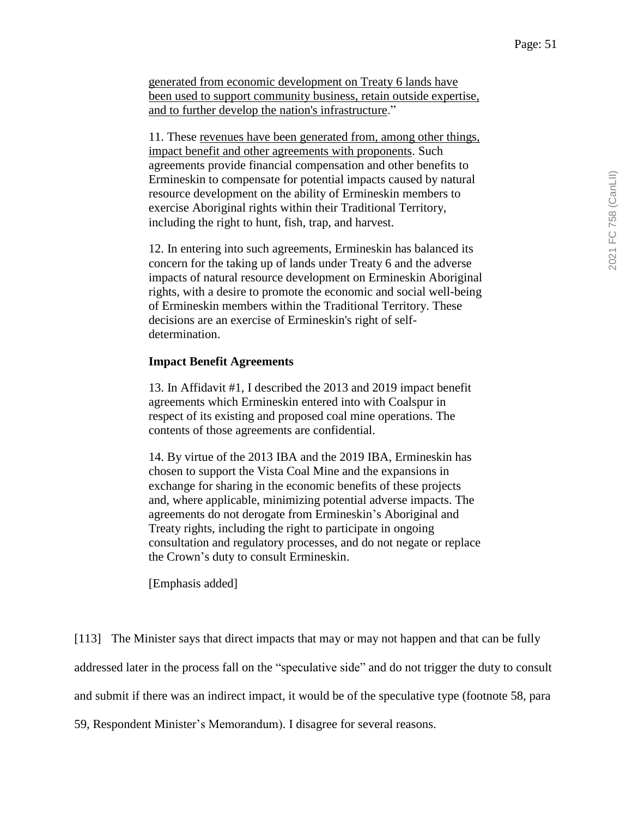generated from economic development on Treaty 6 lands have been used to support community business, retain outside expertise, and to further develop the nation's infrastructure."

11. These revenues have been generated from, among other things, impact benefit and other agreements with proponents. Such agreements provide financial compensation and other benefits to Ermineskin to compensate for potential impacts caused by natural resource development on the ability of Ermineskin members to exercise Aboriginal rights within their Traditional Territory, including the right to hunt, fish, trap, and harvest.

12. In entering into such agreements, Ermineskin has balanced its concern for the taking up of lands under Treaty 6 and the adverse impacts of natural resource development on Ermineskin Aboriginal rights, with a desire to promote the economic and social well-being of Ermineskin members within the Traditional Territory. These decisions are an exercise of Ermineskin's right of selfdetermination.

#### **Impact Benefit Agreements**

13. In Affidavit #1, I described the 2013 and 2019 impact benefit agreements which Ermineskin entered into with Coalspur in respect of its existing and proposed coal mine operations. The contents of those agreements are confidential.

14. By virtue of the 2013 IBA and the 2019 IBA, Ermineskin has chosen to support the Vista Coal Mine and the expansions in exchange for sharing in the economic benefits of these projects and, where applicable, minimizing potential adverse impacts. The agreements do not derogate from Ermineskin's Aboriginal and Treaty rights, including the right to participate in ongoing consultation and regulatory processes, and do not negate or replace the Crown's duty to consult Ermineskin.

[Emphasis added]

[113] The Minister says that direct impacts that may or may not happen and that can be fully addressed later in the process fall on the "speculative side" and do not trigger the duty to consult and submit if there was an indirect impact, it would be of the speculative type (footnote 58, para

59, Respondent Minister's Memorandum). I disagree for several reasons.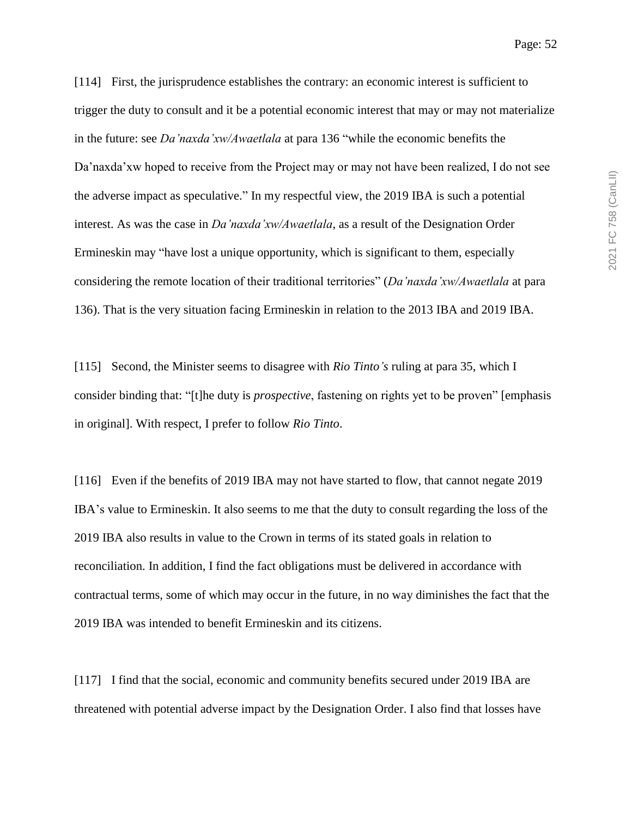[114] First, the jurisprudence establishes the contrary: an economic interest is sufficient to trigger the duty to consult and it be a potential economic interest that may or may not materialize in the future: see *Da'naxda'xw/Awaetlala* at para 136 "while the economic benefits the Da'naxda'xw hoped to receive from the Project may or may not have been realized, I do not see the adverse impact as speculative." In my respectful view, the 2019 IBA is such a potential interest. As was the case in *Da'naxda'xw/Awaetlala*, as a result of the Designation Order Ermineskin may "have lost a unique opportunity, which is significant to them, especially considering the remote location of their traditional territories" (*Da'naxda'xw/Awaetlala* at para 136). That is the very situation facing Ermineskin in relation to the 2013 IBA and 2019 IBA.

[115] Second, the Minister seems to disagree with *Rio Tinto's* ruling at para 35, which I consider binding that: "[t]he duty is *prospective*, fastening on rights yet to be proven" [emphasis in original]. With respect, I prefer to follow *Rio Tinto*.

[116] Even if the benefits of 2019 IBA may not have started to flow, that cannot negate 2019 IBA's value to Ermineskin. It also seems to me that the duty to consult regarding the loss of the 2019 IBA also results in value to the Crown in terms of its stated goals in relation to reconciliation. In addition, I find the fact obligations must be delivered in accordance with contractual terms, some of which may occur in the future, in no way diminishes the fact that the 2019 IBA was intended to benefit Ermineskin and its citizens.

[117] I find that the social, economic and community benefits secured under 2019 IBA are threatened with potential adverse impact by the Designation Order. I also find that losses have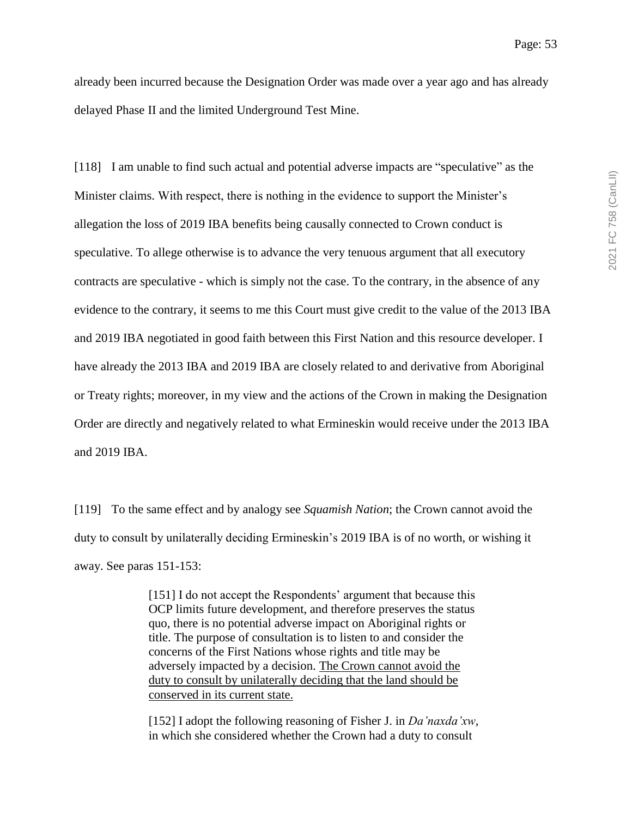already been incurred because the Designation Order was made over a year ago and has already delayed Phase II and the limited Underground Test Mine.

[118] I am unable to find such actual and potential adverse impacts are "speculative" as the Minister claims. With respect, there is nothing in the evidence to support the Minister's allegation the loss of 2019 IBA benefits being causally connected to Crown conduct is speculative. To allege otherwise is to advance the very tenuous argument that all executory contracts are speculative - which is simply not the case. To the contrary, in the absence of any evidence to the contrary, it seems to me this Court must give credit to the value of the 2013 IBA and 2019 IBA negotiated in good faith between this First Nation and this resource developer. I have already the 2013 IBA and 2019 IBA are closely related to and derivative from Aboriginal or Treaty rights; moreover, in my view and the actions of the Crown in making the Designation Order are directly and negatively related to what Ermineskin would receive under the 2013 IBA and 2019 IBA.

[119] To the same effect and by analogy see *Squamish Nation*; the Crown cannot avoid the duty to consult by unilaterally deciding Ermineskin's 2019 IBA is of no worth, or wishing it away. See paras 151-153:

> [151] I do not accept the Respondents' argument that because this OCP limits future development, and therefore preserves the status quo, there is no potential adverse impact on Aboriginal rights or title. The purpose of consultation is to listen to and consider the concerns of the First Nations whose rights and title may be adversely impacted by a decision. The Crown cannot avoid the duty to consult by unilaterally deciding that the land should be conserved in its current state.

[152] I adopt the following reasoning of Fisher J. in *Da'naxda'xw*, in which she considered whether the Crown had a duty to consult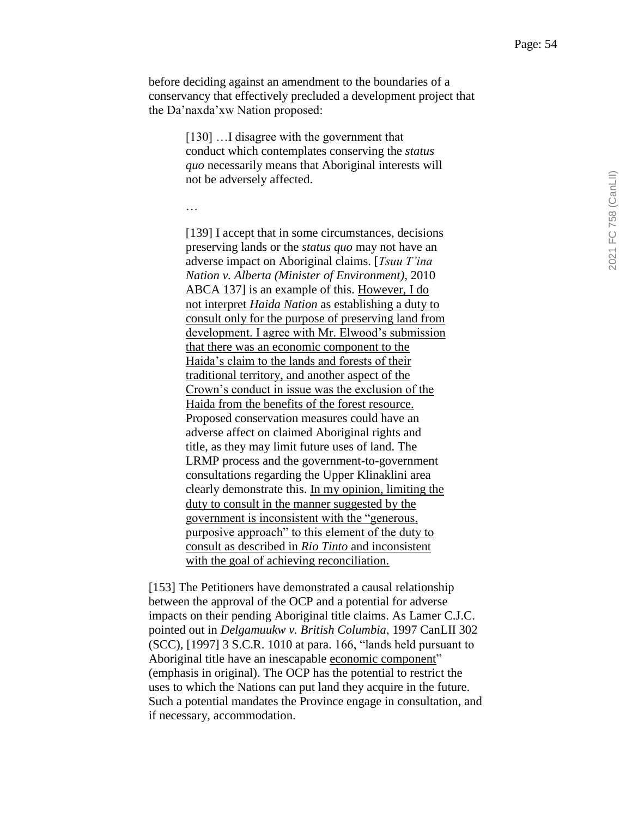before deciding against an amendment to the boundaries of a conservancy that effectively precluded a development project that the Da'naxda'xw Nation proposed:

> [130] ... I disagree with the government that conduct which contemplates conserving the *status quo* necessarily means that Aboriginal interests will not be adversely affected.

…

[139] I accept that in some circumstances, decisions preserving lands or the *status quo* may not have an adverse impact on Aboriginal claims. [*Tsuu T'ina Nation v. Alberta (Minister of Environment)*, 2010 ABCA 137] is an example of this. However, I do not interpret *Haida Nation* as establishing a duty to consult only for the purpose of preserving land from development. I agree with Mr. Elwood's submission that there was an economic component to the Haida's claim to the lands and forests of their traditional territory, and another aspect of the Crown's conduct in issue was the exclusion of the Haida from the benefits of the forest resource. Proposed conservation measures could have an adverse affect on claimed Aboriginal rights and title, as they may limit future uses of land. The LRMP process and the government-to-government consultations regarding the Upper Klinaklini area clearly demonstrate this. In my opinion, limiting the duty to consult in the manner suggested by the government is inconsistent with the "generous, purposive approach" to this element of the duty to consult as described in *Rio Tinto* and inconsistent with the goal of achieving reconciliation.

[153] The Petitioners have demonstrated a causal relationship between the approval of the OCP and a potential for adverse impacts on their pending Aboriginal title claims. As Lamer C.J.C. pointed out in *Delgamuukw v. British Columbia*, 1997 CanLII 302 (SCC), [1997] 3 S.C.R. 1010 at para. 166, "lands held pursuant to Aboriginal title have an inescapable economic component" (emphasis in original). The OCP has the potential to restrict the uses to which the Nations can put land they acquire in the future. Such a potential mandates the Province engage in consultation, and if necessary, accommodation.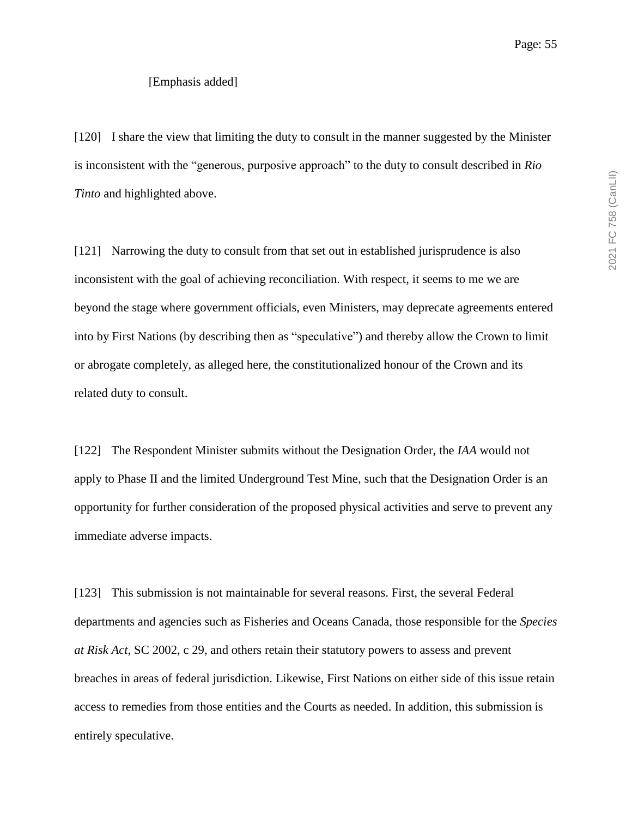[120] I share the view that limiting the duty to consult in the manner suggested by the Minister is inconsistent with the "generous, purposive approach" to the duty to consult described in *Rio Tinto* and highlighted above.

[121] Narrowing the duty to consult from that set out in established jurisprudence is also inconsistent with the goal of achieving reconciliation. With respect, it seems to me we are beyond the stage where government officials, even Ministers, may deprecate agreements entered into by First Nations (by describing then as "speculative") and thereby allow the Crown to limit or abrogate completely, as alleged here, the constitutionalized honour of the Crown and its related duty to consult.

[122] The Respondent Minister submits without the Designation Order, the *IAA* would not apply to Phase II and the limited Underground Test Mine, such that the Designation Order is an opportunity for further consideration of the proposed physical activities and serve to prevent any immediate adverse impacts.

[123] This submission is not maintainable for several reasons. First, the several Federal departments and agencies such as Fisheries and Oceans Canada, those responsible for the *Species at Risk Act*, SC 2002, c 29, and others retain their statutory powers to assess and prevent breaches in areas of federal jurisdiction. Likewise, First Nations on either side of this issue retain access to remedies from those entities and the Courts as needed. In addition, this submission is entirely speculative.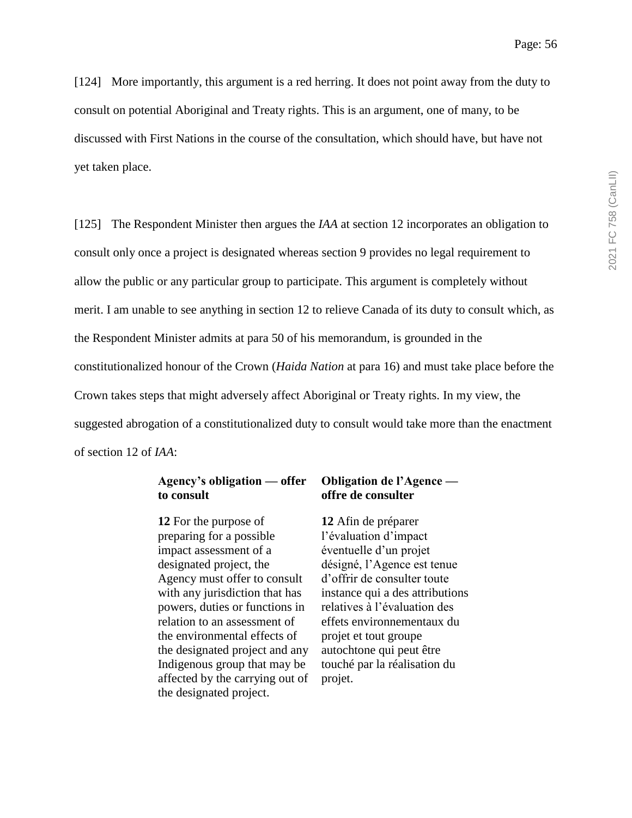[124] More importantly, this argument is a red herring. It does not point away from the duty to consult on potential Aboriginal and Treaty rights. This is an argument, one of many, to be discussed with First Nations in the course of the consultation, which should have, but have not yet taken place.

[125] The Respondent Minister then argues the *IAA* at section 12 incorporates an obligation to consult only once a project is designated whereas section 9 provides no legal requirement to allow the public or any particular group to participate. This argument is completely without merit. I am unable to see anything in section 12 to relieve Canada of its duty to consult which, as the Respondent Minister admits at para 50 of his memorandum, is grounded in the constitutionalized honour of the Crown (*Haida Nation* at para 16) and must take place before the Crown takes steps that might adversely affect Aboriginal or Treaty rights. In my view, the suggested abrogation of a constitutionalized duty to consult would take more than the enactment of section 12 of *IAA*:

## **Agency's obligation — offer to consult**

**12** For the purpose of preparing for a possible impact assessment of a designated project, the Agency must offer to consult with any jurisdiction that has powers, duties or functions in relation to an assessment of the environmental effects of the designated project and any Indigenous group that may be affected by the carrying out of the designated project.

## **Obligation de l'Agence offre de consulter**

**12** Afin de préparer l'évaluation d'impact éventuelle d'un projet désigné, l'Agence est tenue d'offrir de consulter toute instance qui a des attributions relatives à l'évaluation des effets environnementaux du projet et tout groupe autochtone qui peut être touché par la réalisation du projet.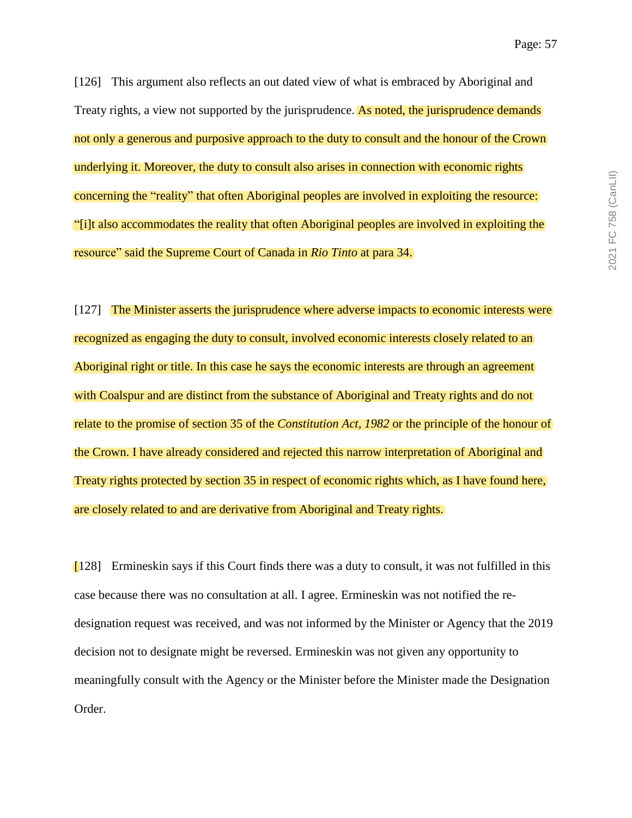2021 FC 758 (CanLII) 2021 FC 758 (CanLII)

[126] This argument also reflects an out dated view of what is embraced by Aboriginal and Treaty rights, a view not supported by the jurisprudence. As noted, the jurisprudence demands not only a generous and purposive approach to the duty to consult and the honour of the Crown underlying it. Moreover, the duty to consult also arises in connection with economic rights concerning the "reality" that often Aboriginal peoples are involved in exploiting the resource: "[i]t also accommodates the reality that often Aboriginal peoples are involved in exploiting the resource" said the Supreme Court of Canada in *Rio Tinto* at para 34.

[127] The Minister asserts the jurisprudence where adverse impacts to economic interests were recognized as engaging the duty to consult, involved economic interests closely related to an Aboriginal right or title. In this case he says the economic interests are through an agreement with Coalspur and are distinct from the substance of Aboriginal and Treaty rights and do not relate to the promise of section 35 of the *Constitution Act, 1982* or the principle of the honour of the Crown. I have already considered and rejected this narrow interpretation of Aboriginal and Treaty rights protected by section 35 in respect of economic rights which, as I have found here, are closely related to and are derivative from Aboriginal and Treaty rights.

[128] Ermineskin says if this Court finds there was a duty to consult, it was not fulfilled in this case because there was no consultation at all. I agree. Ermineskin was not notified the redesignation request was received, and was not informed by the Minister or Agency that the 2019 decision not to designate might be reversed. Ermineskin was not given any opportunity to meaningfully consult with the Agency or the Minister before the Minister made the Designation Order.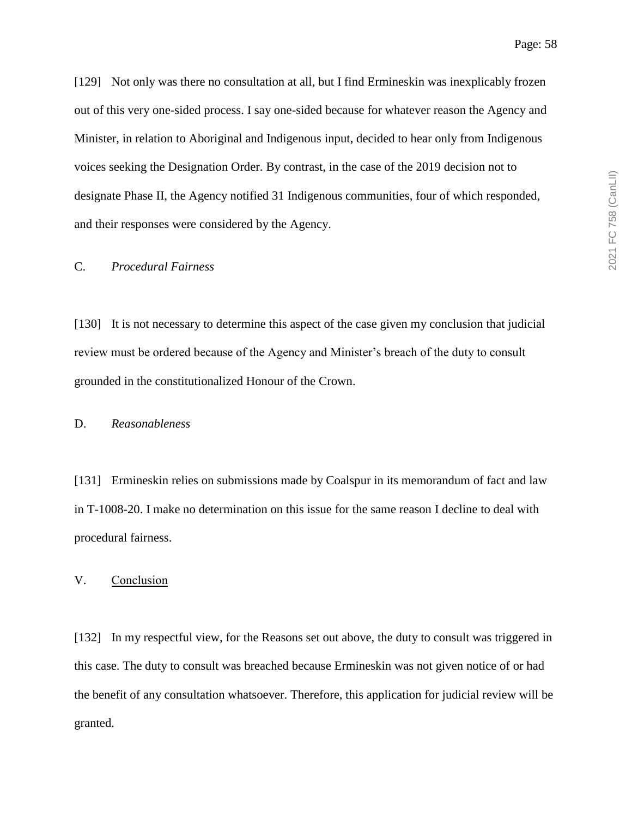[129] Not only was there no consultation at all, but I find Ermineskin was inexplicably frozen out of this very one-sided process. I say one-sided because for whatever reason the Agency and Minister, in relation to Aboriginal and Indigenous input, decided to hear only from Indigenous voices seeking the Designation Order. By contrast, in the case of the 2019 decision not to designate Phase II, the Agency notified 31 Indigenous communities, four of which responded, and their responses were considered by the Agency.

#### C. *Procedural Fairness*

[130] It is not necessary to determine this aspect of the case given my conclusion that judicial review must be ordered because of the Agency and Minister's breach of the duty to consult grounded in the constitutionalized Honour of the Crown.

#### D. *Reasonableness*

[131] Ermineskin relies on submissions made by Coalspur in its memorandum of fact and law in T-1008-20. I make no determination on this issue for the same reason I decline to deal with procedural fairness.

V. Conclusion

[132] In my respectful view, for the Reasons set out above, the duty to consult was triggered in this case. The duty to consult was breached because Ermineskin was not given notice of or had the benefit of any consultation whatsoever. Therefore, this application for judicial review will be granted.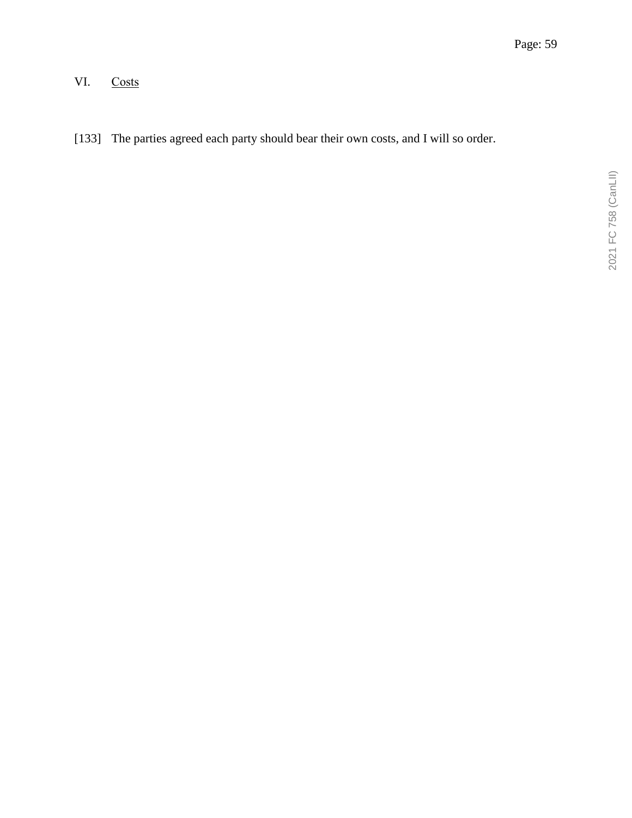# VI. Costs

[133] The parties agreed each party should bear their own costs, and I will so order.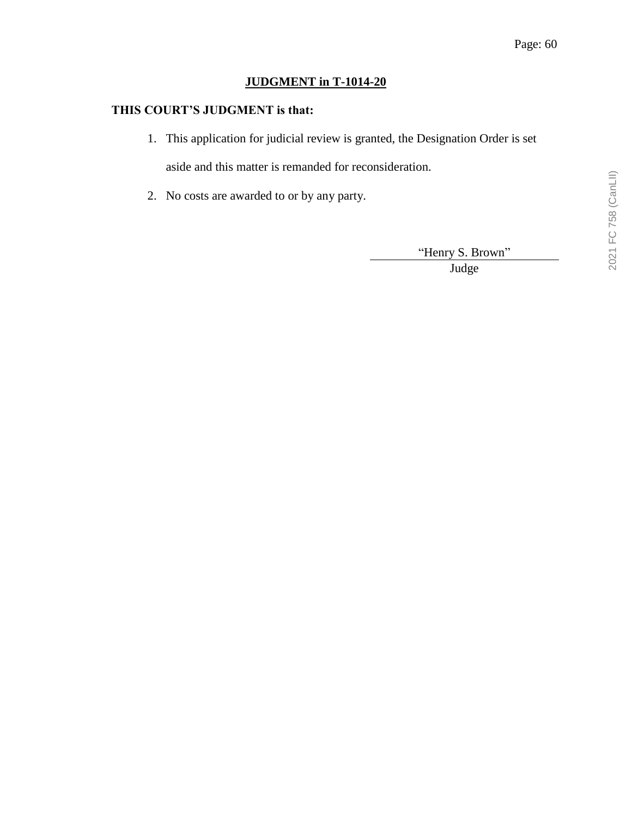## **JUDGMENT in T-1014-20**

## **THIS COURT'S JUDGMENT is that:**

1. This application for judicial review is granted, the Designation Order is set

aside and this matter is remanded for reconsideration.

2. No costs are awarded to or by any party.

"Henry S. Brown"

Judge